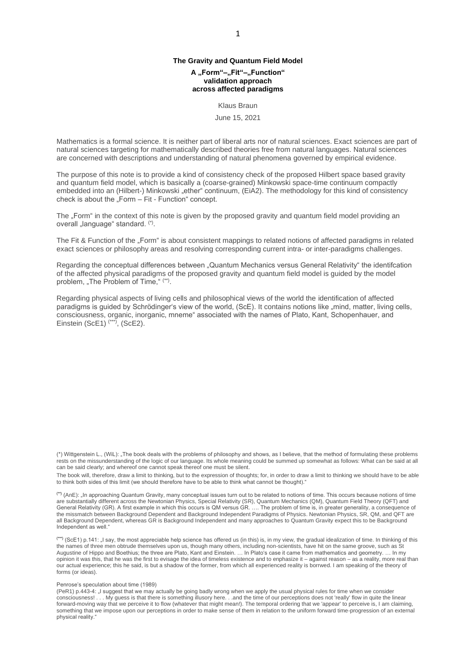# **The Gravity and Quantum Field Model**

#### A "Form"-"Fit"-"Function" **validation approach across affected paradigms**

Klaus Braun

June 15, 2021

Mathematics is a formal science. It is neither part of liberal arts nor of natural sciences. Exact sciences are part of natural sciences targeting for mathematically described theories free from natural languages. Natural sciences are concerned with descriptions and understanding of natural phenomena governed by empirical evidence.

The purpose of this note is to provide a kind of consistency check of the proposed Hilbert space based gravity and quantum field model, which is basically a (coarse-grained) Minkowski space-time continuum compactly embedded into an (Hilbert-) Minkowski ..ether continuum, (EiA2). The methodology for this kind of consistency check is about the  $F$ -Form  $-$  Fit - Function" concept.

The "Form" in the context of this note is given by the proposed gravity and quantum field model providing an overall "language" standard. <sup>(\*)</sup>.

The Fit & Function of the "Form" is about consistent mappings to related notions of affected paradigms in related exact sciences or philosophy areas and resolving corresponding current intra- or inter-paradigms challenges.

Regarding the conceptual differences between "Quantum Mechanics versus General Relativity" the identifcation of the affected physical paradigms of the proposed gravity and quantum field model is guided by the model problem, "The Problem of Time," (\*\*).

Regarding physical aspects of living cells and philosophical views of the world the identification of affected paradigms is guided by Schrödinger's view of the world, (ScE). It contains notions like "mind, matter, living cells, consciousness, organic, inorganic, mneme" associated with the names of Plato, Kant, Schopenhauer, and Einstein (ScE1) (\*\*\*), (ScE2).

(\*) Wittgenstein L., (WiL): "The book deals with the problems of philosophy and shows, as I believe, that the method of formulating these problems rests on the missunderstanding of the logic of our language. Its whole meaning could be summed up somewhat as follows: What can be said at all can be said clearly; and whereof one cannot speak thereof one must be silent.

The book will, therefore, draw a limit to thinking, but to the expression of thoughts; for, in order to draw a limit to thinking we should have to be able to think both sides of this limit (we should therefore have to be able to think what cannot be thought)."

(\*\*) (AnE): "In approaching Quantum Gravity, many conceptual issues turn out to be related to notions of time. This occurs because notions of time are substantially different across the Newtonian Physics, Special Relativity (SR), Quantum Mechanics (QM), Quantum Field Theory (QFT) and General Relativity (GR). A first example in which this occurs is QM versus GR. …. The problem of time is, in greater generality, a consequence of the missmatch between Background Dependent and Background Independent Paradigms of Physics. Newtonian Physics, SR, QM, and QFT are all Background Dependent, whereas GR is Background Independent and many approaches to Quantum Gravity expect this to be Background Independent as well."

<sup>(\*\*\*</sup>) (ScE1) p.141: "I say, the most appreciable help science has offered us (in this) is, in my view, the gradual idealization of time. In thinking of this the names of three men obtrude themselves upon us, though many others, including non-scientists, have hit on the same groove, such as St Augustine of Hippo and Boethius; the three are Plato, Kant and Einstein. … In Plato's case it came from mathematics and geometry. … In my opinion it was this, that he was the first to evisage the idea of timeless existence and to enphasize it – against reason – as a reality, more real than our actual experience; this he said, is but a shadow of the former, from which all experienced reality is borrwed. I am speaking of the theory of forms (or ideas).

#### Penrose's speculation about time (1989)

(PeR1) p.443-4: "I suggest that we may actually be going badly wrong when we apply the usual physical rules for time when we consider consciousness! . . . My guess is that there is something illusory here. . .and the time of our perceptions does not 'really' flow in quite the linear forward-moving way that we perceive it to flow (whatever that might mean!). The temporal ordering that we 'appear' to perceive is, I am claiming, something that we impose upon our perceptions in order to make sense of them in relation to the uniform forward time-progression of an external physical reality.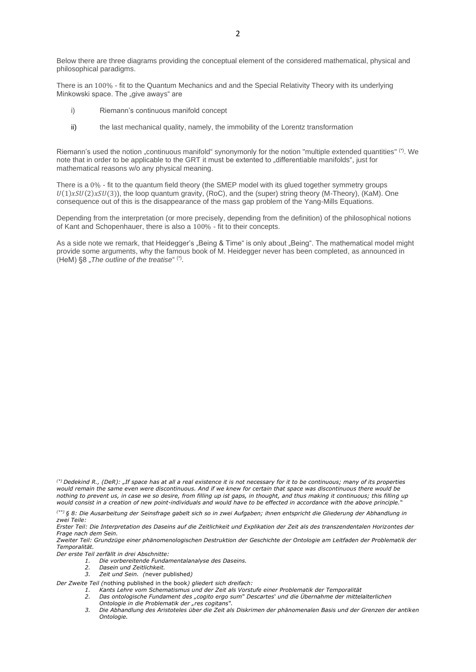Below there are three diagrams providing the conceptual element of the considered mathematical, physical and philosophical paradigms.

There is an 100% - fit to the Quantum Mechanics and and the Special Relativity Theory with its underlying Minkowski space. The "give aways" are

- i) Riemann's continuous manifold concept
- ii) the last mechanical quality, namely, the immobility of the Lorentz transformation

Riemann's used the notion "continuous manifold" synonymonly for the notion "multiple extended quantities" (\*). We note that in order to be applicable to the GRT it must be extented to "differentiable manifolds", just for mathematical reasons w/o any physical meaning.

There is a 0% - fit to the quantum field theory (the SMEP model with its glued together symmetry groups  $U(1)xSU(2)xSU(3)$ , the loop quantum gravity, (RoC), and the (super) string theory (M-Theory), (KaM). One consequence out of this is the disappearance of the mass gap problem of the Yang-Mills Equations.

Depending from the interpretation (or more precisely, depending from the definition) of the philosophical notions of Kant and Schopenhauer, there is also a 100% - fit to their concepts.

As a side note we remark, that Heidegger's "Being & Time" is only about "Being". The mathematical model might provide some arguments, why the famous book of M. Heidegger never has been completed, as announced in (HeM) §8 "The outline of the treatise" (\*).

*Der erste Teil zerfällt in drei Abschnitte:*

- *1. Die vorbereitende Fundamentalanalyse des Daseins.*
- *2. Dasein und Zeitlichkeit.*
- *3. Zeit und Sein. (*never published*)*

*Der Zweite Teil (*nothing published in the book*) gliedert sich dreifach:*

- *1. Kants Lehre vom Schematismus und der Zeit als Vorstufe einer Problematik der Temporalität*
- *2. Das ontologische Fundament des "cogito ergo sum" Descartes' und die Übernahme der mittelalterlichen*
- *Ontologie in die Problematik der "res cogitans".*
- *3. Die Abhandlung des Aristoteles über die Zeit als Diskrimen der phänomenalen Basis und der Grenzen der antiken Ontologie.*

*<sup>(\*)</sup> Dedekind R., (DeR): "If space has at all a real existence it is not necessary for it to be continuous; many of its properties would remain the same even were discontinuous. And if we knew for certain that space was discontinuous there would be nothing to prevent us, in case we so desire, from filling up ist gaps, in thought, and thus making it continuous; this filling up would consist in a creation of new point-individuals and would have to be effected in accordance with the above principle."*

*<sup>(\*\*)</sup> § 8: Die Ausarbeitung der Seinsfrage gabelt sich so in zwei Aufgaben; ihnen entspricht die Gliederung der Abhandlung in zwei Teile:*

*Erster Teil: Die Interpretation des Daseins auf die Zeitlichkeit und Explikation der Zeit als des transzendentalen Horizontes der Frage nach dem Sein.*

*Zweiter Teil: Grundzüge einer phänomenologischen Destruktion der Geschichte der Ontologie am Leitfaden der Problematik der Temporalität.*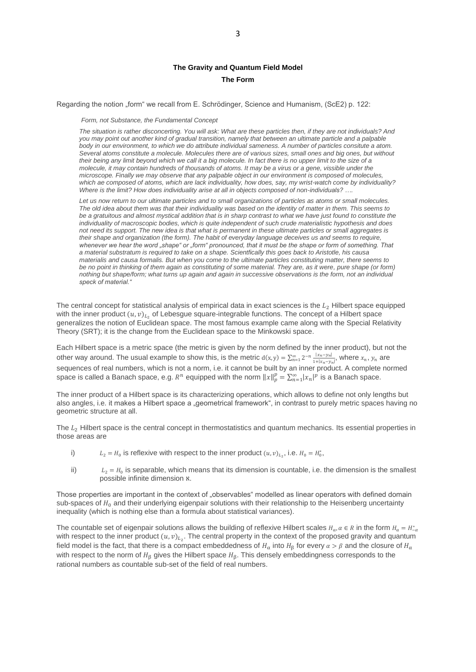# **The Gravity and Quantum Field Model The Form**

Regarding the notion "form" we recall from E. Schrödinger, Science and Humanism, (ScE2) p. 122:

*Form, not Substance, the Fundamental Concept*

*The situation is rather disconcerting. You will ask: What are these particles then, if they are not individuals? And you may point out another kind of gradual transition, namely that between an ultimate particle and a palpable body in our environment, to which we do attribute individual sameness. A number of particles consitute a atom. Several atoms constitute a molecule. Molecules there are of various sizes, small ones and big ones, but without their being any limit beyond which we call it a big molecule. In fact there is no upper limit to the size of a molecule, it may contain hundreds of thousands of atoms. It may be a virus or a gene, vissible under the microscope. Finally we may observe that any palpable object in our environment is composed of molecules, which ae composed of atoms, which are lack individuality, how does, say, my wrist-watch come by individuality? Where is the limit? How does individuality arise at all in objects composed of non-individuals? ….*

*Let us now return to our ultimate particles and to small organizations of particles as atoms or small molecules. The old idea about them was that their individuality was based on the identity of matter in them. This seems to be a gratuitous and almost mystical addition that is in sharp contrast to what we have just found to constitute the individuality of macroscopic bodies, which is quite independent of such crude materialistic hypothesis and does not need its support. The new idea is that what is permanent in these ultimate particles or small aggregates is their shape and organization (the form). The habit of everyday language deceives us and seems to require,*  whenever we hear the word "shape" or "form" pronounced, that it must be the shape or form of something. That *a material substratum is required to take on a shape. Scientfically this goes back to Aristotle, his causa materialis and causa formalis. But when you come to the ultimate particles constituting matter, there seems to*  be no point in thinking of them again as constituting of some material. They are, as it were, pure shape (or form) *nothing but shape/form; what turns up again and again in successive observations is the form, not an individual speck of material."*

The central concept for statistical analysis of empirical data in exact sciences is the  $L_2$  Hilbert space equipped with the inner product  $(u, v)_{L_2}$  of Lebesgue square-integrable functions. The concept of a Hilbert space generalizes the notion of Euclidean space. The most famous example came along with the Special Relativity Theory (SRT); it is the change from the Euclidean space to the Minkowski space.

Each Hilbert space is a metric space (the metric is given by the norm defined by the inner product), but not the other way around. The usual example to show this, is the metric  $d(x,y) = \sum_{n=1}^{\infty} 2^{-n} \frac{|x_n - y_n|}{|x_n - y_n|}$  $\sum_{n=1}^{\infty} 2^{-n} \frac{|x_n - y_n|}{1 + |x_n - y_n|}$ , where  $x_n$ ,  $y_n$  are sequences of real numbers, which is not a norm, i.e. it cannot be built by an inner product. A complete normed space is called a Banach space, e.g.  $R^n$  equipped with the norm  $||x||_p^p = \sum_{n=1}^{\infty} |x_n|^p$  is a Banach space.

The inner product of a Hilbert space is its characterizing operations, which allows to define not only lengths but also angles, i.e. it makes a Hilbert space a "geometrical framework", in contrast to purely metric spaces having no geometric structure at all.

The  $L_2$  Hilbert space is the central concept in thermostatistics and quantum mechanics. Its essential properties in those areas are

- i)  $L_2 = H_0$  is reflexive with respect to the inner product  $(u, v)_{L_2}$ , i.e.  $H_0 = H_0^*$ ,
- ii)  $L_2 = H_0$  is separable, which means that its dimension is countable, i.e. the dimension is the smallest possible infinite dimension  $x$ .

Those properties are important in the context of "observables" modelled as linear operators with defined domain sub-spaces of  $H_0$  and their underlying eigenpair solutions with their relationship to the Heisenberg uncertainty inequality (which is nothing else than a formula about statistical variances).

The countable set of eigenpair solutions allows the building of reflexive Hilbert scales  $H_\alpha$ ,  $\alpha\in R$  in the form  $H_\alpha=H_{-\alpha}^*$ with respect to the inner product  $(u, v)_{L_2}$ . The central property in the context of the proposed gravity and quantum field model is the fact, that there is a compact embeddedness of  $H_\alpha$  into  $H_R$  for every  $\alpha > \beta$  and the closure of  $H_\alpha$ with respect to the norm of  $H_8$  gives the Hilbert space  $H_8$ . This densely embeddingness corresponds to the rational numbers as countable sub-set of the field of real numbers.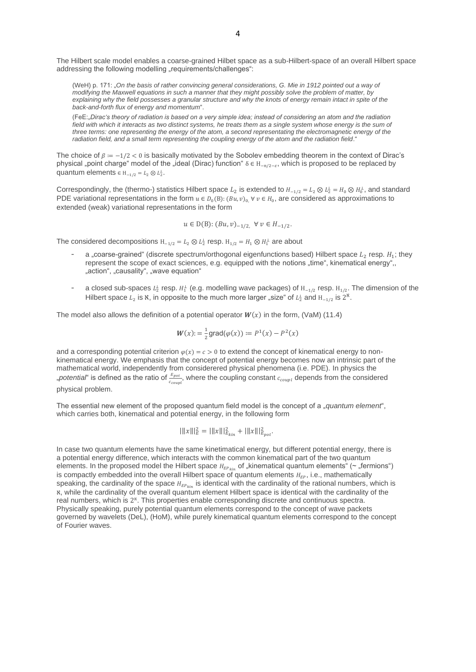The Hilbert scale model enables a coarse-grained Hilbet space as a sub-Hilbert-space of an overall Hilbert space addressing the following modelling "requirements/challenges":

(WeH) p. 171: "*On the basis of rather convincing general considerations, G. Mie in 1912 pointed out a way of modifying the Maxwell equations in such a manner that they might possibly solve the problem of matter, by explaining why the field possesses a granular structure and why the knots of energy remain intact in spite of the back-and-forth flux of energy and momentum*".

(FeE:"Dirac's theory of radiation is based on a very simple idea; instead of considering an atom and the radiation *field with which it interacts as two distinct systems, he treats them as a single system whose energy is the sum of three terms: one representing the energy of the atom, a second representating the electromagnetic energy of the radiation field, and a small term representing the coupling energy of the atom and the radiation field*."

The choice of  $\beta = -1/2 < 0$  is basically motivated by the Sobolev embedding theorem in the context of Dirac's physical "point charge" model of the "ideal (Dirac) function" δ ∈  $H_{-n/2-\varepsilon}$ , which is proposed to be replaced by quantum elements  $\in$  H<sub>-1/2</sub> =  $L_2 \otimes L_2^{\perp}$ .

Correspondingly, the (thermo-) statistics Hilbert space  $L_2$  is extended to  $H_{-1/2} = L_2 \otimes L_2^{\perp} = H_0 \otimes H_0^{\perp}$ , and standard PDE variational representations in the form  $u \in D_0(B)$ :  $(Bu, v)$ <sub>0</sub>,  $\forall v \in H_0$ , are considered as approximations to extended (weak) variational representations in the form

$$
u \in D(B): (Bu, v)_{-1/2}, \forall v \in H_{-1/2}.
$$

The considered decompositions  $H_{-1/2} = L_2 \otimes L_2^{\perp}$  resp.  $H_{1/2} = H_1 \otimes H_1^{\perp}$  are about

- a "coarse-grained" (discrete spectrum/orthogonal eigenfunctions based) Hilbert space  $L_2$  resp.  $H_1$ ; they represent the scope of exact sciences, e.g. equipped with the notions "time", kinematical energy",, "action", "causality", "wave equation"
- a closed sub-spaces  $L_2^{\perp}$  resp.  $H_1^{\perp}$  (e.g. modelling wave packages) of  $H_{-1/2}$  resp.  $H_{1/2}$ . The dimension of the Hilbert space  $L_2$  is  $\aleph$ , in opposite to the much more larger "size" of  $L_2^{\perp}$  and  $\text{H}_{-1/2}$  is  $2^{\aleph}$ .

The model also allows the definition of a potential operator  $W(x)$  in the form, (VaM) (11.4)

$$
W(x) := \frac{1}{2} \text{grad}(\varphi(x)) := P^1(x) - P^2(x)
$$

and a corresponding potential criterion  $\varphi(x) = c > 0$  to extend the concept of kinematical energy to nonkinematical energy. We emphasis that the concept of potential energy becomes now an intrinsic part of the mathematical world, independently from considerered physical phenomena (i.e. PDE). In physics the "*potential*" is defined as the ratio of  $\frac{E_{pot}}{c_{coupl}}$ , where the coupling constant  $c_{coupl}$  depends from the considered physical problem.

The essential new element of the proposed quantum field model is the concept of a "*quantum element*", which carries both, kinematical and potential energy, in the following form

$$
|||x|||_E^2 = |||x|||_{E_{kin}}^2 + |||x|||_{E_{pot}}^2.
$$

In case two quantum elements have the same kinetimatical energy, but different potential energy, there is a potential energy difference, which interacts with the common kinematical part of the two quantum elements. In the proposed model the Hilbert space  $H_{EP_{kin}}$  of "kinematical quantum elements" ( $\sim$  "fermions") is compactly embedded into the overall Hilbert space of quantum elements  $H_{EP}$ , i.e., mathematically speaking, the cardinality of the space  $H_{E_{Prim}}$  is identical with the cardinality of the rational numbers, which is ℵ, while the cardinality of the overall quantum element Hilbert space is identical with the cardinality of the real numbers, which is 2<sup>x</sup>. This properties enable corresponding discrete and continuous spectra. Physically speaking, purely potential quantum elements correspond to the concept of wave packets governed by wavelets (DeL), (HoM), while purely kinematical quantum elements correspond to the concept of Fourier waves.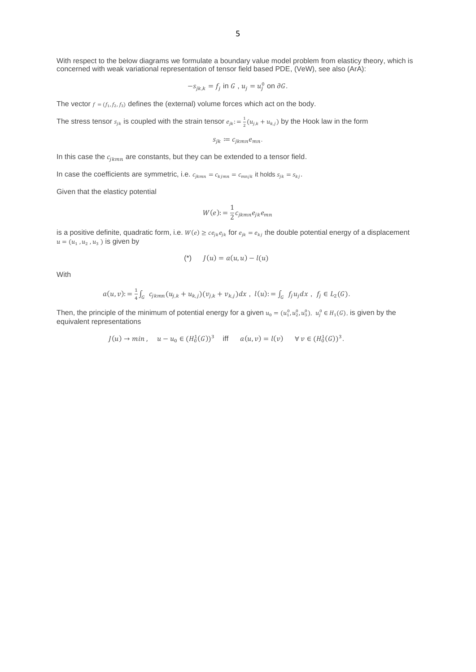With respect to the below diagrams we formulate a boundary value model problem from elasticy theory, which is concerned with weak variational representation of tensor field based PDE, (VeW), see also (ArA):

$$
-s_{jk,k} = f_j \text{ in } G \text{ , } u_j = u_j^0 \text{ on } \partial G.
$$

The vector  $f = (f_1, f_2, f_3)$  defines the (external) volume forces which act on the body.

The stress tensor  $s_{jk}$  is coupled with the strain tensor  $e_{jk} := \frac{1}{2}$  $\frac{1}{2}(u_{j,k} + u_{k,j})$  by the Hook law in the form

$$
s_{jk} := c_{jkmn} e_{mn}.
$$

In this case the  $c_{jkmn}$  are constants, but they can be extended to a tensor field.

In case the coefficients are symmetric, i.e.  $c_{jkmn} = c_{kjmn} = c_{mnjk}$  it holds  $s_{jk} = s_{kj}$ .

Given that the elasticy potential

$$
W(e) := \frac{1}{2} c_{jkmn} e_{jk} e_{mn}
$$

is a positive definite, quadratic form, i.e.  $W(e) \ge c e_{ik} e_{ik}$  for  $e_{ik} = e_{ki}$  the double potential energy of a displacement  $u = (u_1, u_2, u_3)$  is given by

$$
(*) \qquad J(u) = a(u, u) - l(u)
$$

With

$$
a(u,v) := \frac{1}{4} \int_G c_{jkmn}(u_{j,k} + u_{k,j})(v_{j,k} + v_{k,j})dx \ , \ l(u) := \int_G f_j u_j dx \ , \ f_j \in L_2(G).
$$

Then, the principle of the minimum of potential energy for a given  $u_0 = (u_1^0, u_2^0, u_3^0), u_j^0 \in H_1(G)$ , is given by the equivalent representations

$$
J(u) \to \min, \quad u - u_0 \in (H_0^1(G))^3 \quad \text{iff} \quad a(u, v) = l(v) \quad \forall \ v \in (H_0^1(G))^3.
$$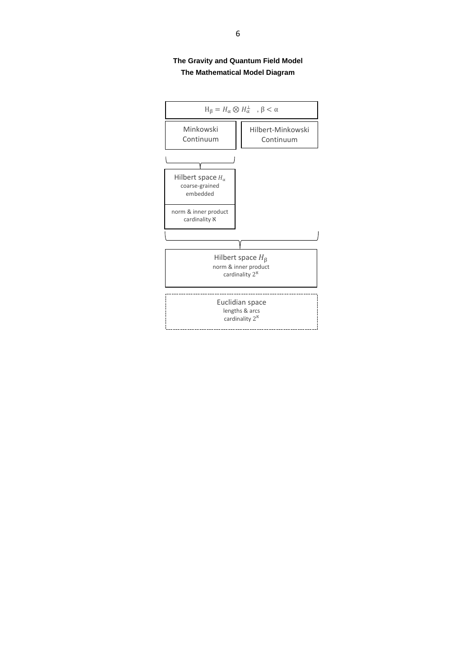# **The Gravity and Quantum Field Model The Mathematical Model Diagram**

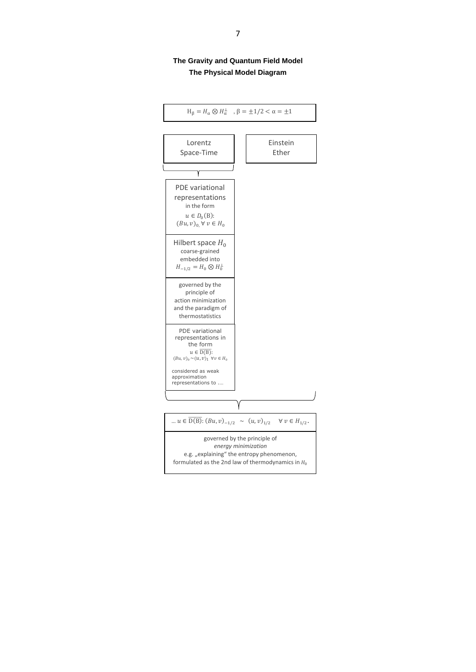# **The Gravity and Quantum Field Model The Physical Model Diagram**

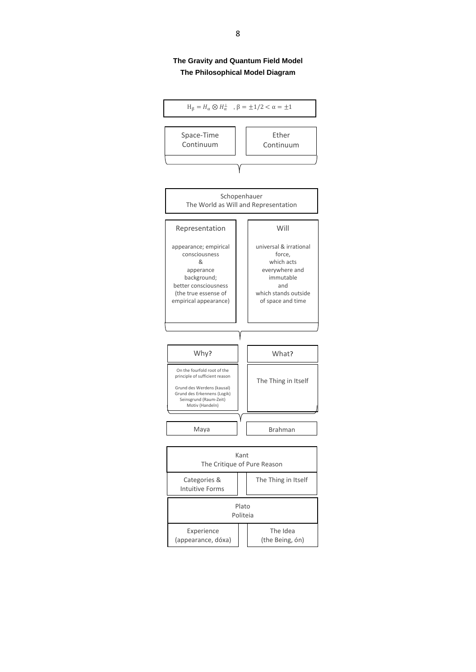# **The Gravity and Quantum Field Model The Philosophical Model Diagram**

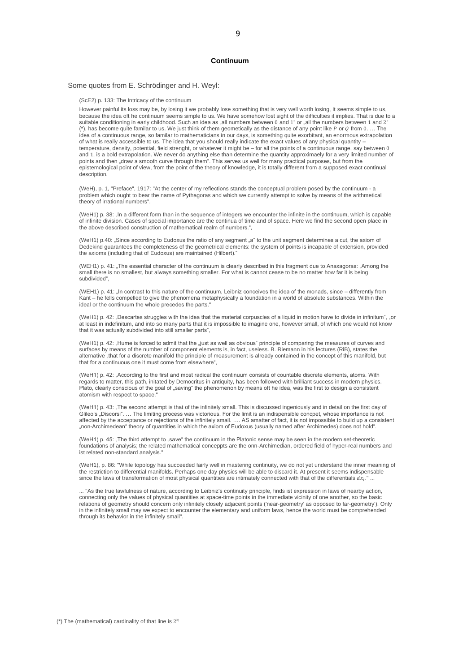#### **Continuum**

#### Some quotes from E. Schrödinger and H. Weyl:

#### (ScE2) p. 133: The Intricacy of the continuum

However painful its loss may be, by losing it we probably lose something that is very well worth losing, It seems simple to us, because the idea oft he continuum seems simple to us. We have somehow lost sight of the difficulties it implies. That is due to a suitable conditioning in early childhood. Such an idea as "all numbers between 0 and 1" or "all the numbers between 1 and 2" (\*), has become quite familar to us. We just think of them geometically as the distance of any point like  $P$  or  $Q$  from  $0...$  The idea of a continuous range, so familar to mathematicians in our days, is something quite exorbitant, an enormous extrapolation of what is really accessible to us. The idea that you should really indicate the exact values of any physical quantity – temperature, density, potential, field strenght, or whatever it might be – for all the points of a continuous range, say between 0 and 1, is a bold extrapolation. We never do anything else than determine the quantity approximaely for a very limited number of points and then "draw a smooth curve through them". This serves us well for many practical purposes, but from the epistemological point of view, from the point of the theory of knowledge, it is totally different from a supposed exact continual description

(WeH), p. 1, "Preface", 1917: "At the center of my reflections stands the conceptual problem posed by the continuum - a problem which ought to bear the name of Pythagoras and which we currently attempt to solve by means of the arithmetical theory of irrational numbers".

(WeH1) p. 38: "In a different form than in the sequence of integers we encounter the infinite in the continuum, which is capable of infinite division. Cases of special importance are the continua of time and of space. Here we find the second open place in the above described construction of mathematical realm of numbers.",

(WeH1) p.40: "Since according to Eudoxus the ratio of any segment "a" to the unit segment determines a cut, the axiom of Dedekind guarantees the completeness of the geometrical elements: the system of points is incapable of extension, provided the axioms (including that of Eudoxus) are maintained (Hilbert)."

(WEH1) p. 41: "The essential character of the continuum is clearly described in this fragment due to Anaxagoras: "Among the small there is no smallest, but always something smaller. For what is cannot cease to be no matter how far it is being subdivided",

(WEH1) p. 41: In contrast to this nature of the continuum, Leibniz conceives the idea of the monads, since – differently from Kant – he fells compelled to give the phenomena metaphysically a foundation in a world of absolute substances. Within the ideal or the continuum the whole precedes the parts.

(WeH1) p. 42: "Descartes struggles with the idea that the material corpuscles of a liquid in motion have to divide in infinitum", "or at least in indefinitum, and into so many parts that it is impossible to imagine one, however small, of which one would not know that it was actually subdivided into still smaller parts",

(WeH1) p. 42: "Hume is forced to admit that the "just as well as obvious" principle of comparing the measures of curves and surfaces by means of the number of component elements is, in fact, useless. B. Riemann in his lectures (RiB), states the alternative "that for a discrete manifold the principle of measurement is already contained in the concept of this manifold, but that for a continuous one it must come from elsewhere",

(WeH1) p. 42: "According to the first and most radical the continuum consists of countable discrete elements, atoms. With regards to matter, this path, initated by Democritus in antiquity, has been followed with brilliant success in modern physics. Plato, clearly conscious of the goal of "saving" the phenomenon by means oft he idea, was the first to design a consistent atomism with respect to space.

(WeH1) p. 43: "The second attempt is that of the infinitely small. This is discussed ingeniously and in detail on the first day of Glileo's "Discorsi". … The limiting process was victorious. For the limit is an indispensible concpet, whose importance is not affected by the acceptance or rejections of the infinitely small. …. AS amatter of fact, it is not impossible to build up a consistent "non-Archimedean" theory of quantities in which the axiom of Eudoxus (usually named after Archimedes) does not hold".

(WeH1) p. 45: "The third attempt to "save" the continuum in the Platonic sense may be seen in the modern set-theoretic foundations of analysis; the related mathematical conceppts are the onn-Archimedian, ordered field of hyper-real numbers and ist related non-standard analysis."

(WeH1), p. 86: "While topology has succeeded fairly well in mastering continuity, we do not yet understand the inner meaning of the restriction to differential manifolds. Perhaps one day physics will be able to discard it. At present it seems indispensable since the laws of transformation of most physical quantities are intimately connected with that of the differentials  $dx_i$ ." ...

... "As the true lawfulness of nature, according to Leibniz's continuity principle, finds ist expression in laws of nearby action, connecting only the values of physical quantities at space-time points in the immediate vicinity of one another, so the basic relations of geometry should concern only infinitely closely adjacent points ('near-geometry' as opposed to far-geometry'). Only in the infinitely small may we expect to encounter the elementary and uniform laws, hence the world must be comprehended through its behavior in the infinitely small".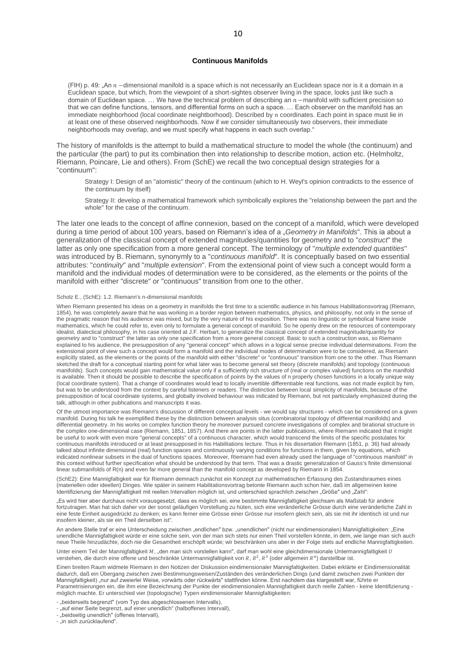# **Continuous Manifolds**

(FIH) p. 49: "An  $n$  –dimensional manifold is a space which is not necessarily an Euclidean space nor is it a domain in a Euclidean space, but which, from the viewpoint of a short-sightes observer living in the space, looks just like such a domain of Euclidean space. ... We have the technical problem of describing an  $n$  –manifold with sufficient precision so that we can define functions, tensors, and differential forms on such a space. … Each observer on the manifold has an immediate neighborhood (local coordinate neightborhood). Described by  $n$  coordinates. Each point in space must lie in at least one of these observed neighborhoods. Now if we consider simultaneously two observers, their immediate neighborhoods may overlap, and we must specify what happens in each such overlap."

The history of manifolds is the attempt to build a mathematical structure to model the whole (the continuum) and the particular (the part) to put its combination then into relationship to describe motion, action etc. (Helmholtz, Riemann, Poincare, Lie and others). From (SchE) we recall the two conceptual design strategies for a "continuum":

Strategy I: Design of an "atomistic" theory of the continuum (which to H. Weyl's opinion contradicts to the essence of the continuum by itself)

Strategy II: develop a mathematical framework which symbolically explores the "relationship between the part and the whole" for the case of the continuum.

The later one leads to the concept of affine connexion, based on the concept of a manifold, which were developed during a time period of about 100 years, based on Riemann's idea of a "*Geometry in Manifolds*". This ia about a generalization of the classical concept of extended magnitudes/quantities for geometry and to "*construct*" the latter as only one specification from a more general concept. The terminology of "*multiple extended quantities*" was introduced by B. Riemann, synonymly to a "*continuous manifold*". It is conceptually based on two essential attributes: "*continuity*" and "*multiple extension*". From the extensional point of view such a concept would form a manifold and the individual modes of determination were to be considered, as the elements or the points of the manifold with either "discrete" or "continuous" transition from one to the other.

#### Scholz E., (SchE): 1.2. Riemann's n-dimensional manifolds

When Riemann presented his ideas on a geometry in manifolds the first time to a scientific audience in his famous Habilitationsvortrag (Riemann, 1854), he was completely aware that he was working in a border region between mathematics, physics, and philosophy, not only in the sense of the pragmatic reason that his audience was mixed, but by the very nature of his exposition. There was no linguistic or symbolical frame inside mathematics, which he could refer to, even only to formulate a general concept of manifold. So he openly drew on the resources of contemporary idealist, dialectical philosophy, in his case oriented at J.F. Herbart, to generalize the classical concept of extended magnitude/quantity for geometry and to "construct" the latter as only one specification from a more general concept. Basic to such a construction was, so Riemann explained to his audience, the presupposition of any "general concept" which allows in a logical sense precise individual determinations. From the extensional point of view such a concept would form a manifold and the individual modes of determination were to be considered, as Riemann explicitly stated, as the elements or the points of the manifold with either "discrete" or "continuous" transition from one to the other. Thus Riemann sketched the draft for a conceptual starting point for what later was to become general set theory (discrete manifolds) and topology (continuous manifolds). Such concepts would gain mathematical value only if a sufficiently rich structure of (real or complex valued) functions on the manifold is available. Then it should be possible to describe the specification of points by the values of n properly chosen functions in a locally unique way (local coordinate system). That a change of coordinates would lead to locally invertible differentiable real functions, was not made explicit by him, but was to be understood from the context by careful listeners or readers. The distinction between local simplicity of manifolds, because of the presupposition of local coordinate systems, and globally involved behaviour was indicated by Riemann, but not particularly emphasized during the talk, although in other pubhcations and manuscripts it was.

Of the utmost importance was Riemann's discussion of different conceptual levels - we would say structures - which can be considered on a given manifold. During his talk he exemplified these by the distinction between analysis situs (combinatorial topology of differential manifolds) and differential geometry. In his works on complex function theory he moreover pursued concrete investigations of complex and birational structure in the complex one-dimensional case (Riemann, 1851, 1857). And there are points in the latter publications, where Riemann indicated that it might be useful to work with even more "general concepts" of a continuous character, which would transcend the limits of the specific postulates for continuous manifolds introduced or at least presupposed in his Habilitations lecture. Thus in his dissertation Riemann (1851, p. 36) had already talked about infinite dimensional (real) function spaces and continuously varying conditions for functions in them, given by equations, which indicated nonlinear subsets in the dual of functions spaces. Moreover, Riemann had even already used the language of "continuous manifold" in this context without further specification what should be understood by that term. That was a drastic generalization of Gauss's finite dimensional linear submanifolds of R(n) and even far more general than the manifold concept as developed by Riemann in 1854.

(SchE2): Eine Mannigfaltigkeit war für Riemann demnach zunächst ein Konzept zur mathematischen Erfassung des Zustandsraumes eines (materiellen oder ideellen) Dinges. Wie später in seinem Habilitationsvortrag betonte Riemann auch schon hier, daß im allgemeinen keine Identifizierung der Mannigfaltigkeit mit reellen Intervallen möglich ist, und unterschied sprachlich zwischen "Größe" und "Zahl":

"Es wird hier aber durchaus nicht vorausgesetzt, dass es möglich sei, eine bestimmte Mannigfaltigkeit gleichsam als Maßstab für andere fortzutragen. Man hat sich daher vor der sonst geläufigen Vorstellung zu hüten, sich eine veränderliche Grösse durch eine veränderliche Zahl in eine feste Einheit ausgedrückt zu denken; es kann ferner eine Grösse einer Grösse nur insofern gleich sein, als sie mit ihr identisch ist und nur insofern kleiner, als sie ein Theil derselben ist".

An andere Stelle traf er eine Unterscheidung zwischen "endlichen" bzw. "unendlichen" (nicht nur eindimensionalen) Mannigfaltigkeiten: "Eine unendliche Mannigfaltigkeit würde er eine solche sein, von der man sich stets nur einen Theil vorstellen könnte, in dem, wie lange man sich auch neue Theile hinzudächte, doch nie die Gesamtheit erschöpft würde; wir beschränken uns aber in der Folge stets auf endliche Mannigfaltigkeiten.

Unter einem Teil der Mannigfaltigkeit M, "den man sich vorstellen kann", darf man wohl eine gleichdimensionale Untermannigfaltigkeit U verstehen, die durch eine offene und beschränkte Untermannigfaltigkeit von R,  $R^2$ ,  $R^3$  (oder allgemein  $R^n$ ) darstellbar ist.

Einen breiten Raum widmete Riemann in den Notizen der Diskussion eindimensionaler Mannigfaltigkeiten. Dabei erklärte er Eindimensionalität dadurch, daß ein Übergang zwischen zwei Bestimmungsweisen/Zuständen des veränderlichen Dings (und damit zwischen zwei Punkten der Mannigfaltigkeit) "nur auf zweierlei Weise, vorwärts oder rückwärts" stattfinden könne. Erst nachdem das klargestellt war, führte er Parametrisierungen ein, die ihm eine Bezeichnung der Punkte der eindimensionalen Mannigfaltigkeit durch reelle Zahlen - keine Identifizierung möglich machte. Er unterschied vier (topologische) Typen eindimensionaler Mannigfaltigkeiten:

- "beiderseits begrenzt" (vom Typ des abgeschlossenen Intervalls),

- "auf einer Seite begrenzt, auf einer unendlich" (halboffenes Intervall),

- "beidseitig unendlich" (offenes Intervall),

- "in sich zurücklaufend".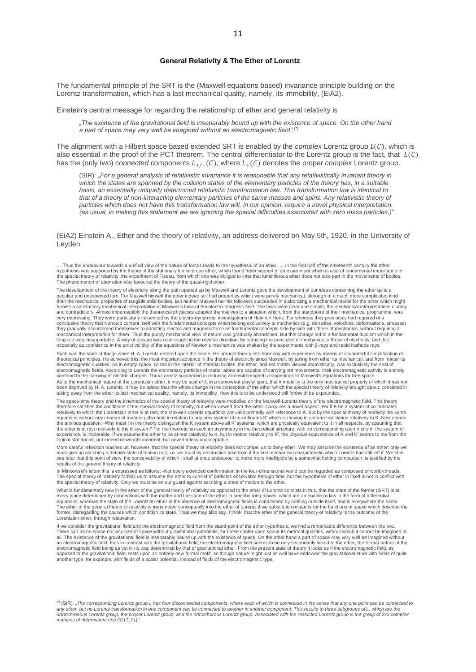# **General Relativity & The Ether of Lorentz**

The fundamental principle of the SRT is the (Maxwell equations based) invariance principle building on the Lorentz transformation, which has a last mechanical quality, namely, its immobility, (EiA2).

Einstein's central message for regarding the relationship of ether and general relativity is

*"The existence of the gravitational field is inseparably bound up with the existence of space. On the other hand a part of space may very well be imagined without an electromagnetic field".(\*)*

The alignment with a Hilbert space based extended SRT is enabled by the *complex* Lorentz group  $L(C)$ , which is also essential in the proof of the PCT theorem. The central differentiator to the Lorentz group is the fact, that  $L(C)$ has the (only two) *connected* components  $L_{+/-}(C)$ , where  $L_{+}(C)$  denotes the proper *complex* Lorentz group.

(StR): *"For a general analysis of relativistic invariance it is reasonable that any relativistically invariant theory in which the states are spanned by the collision states of the elementary particles of the theory has, in a suitable basis, an essentially uniquely determined relativistic transformation law. This transformation law is identical to*  that of a theory of non-interacting elementary particles of the same masses and spins. Any relativistic theory of *particles which does not have this transformation law will, in our opinion, require a novel physical interpretation. (as usual, in making this statement we are ignoring the special difficulties associated with zero mass particles.)"*

(EiA2) Einstein A., Ether and the theory of relativity, an address delivered on May 5th, 1920, in the University of Leyden

… Thus the endeavour towards a unified view of the nature of forces leads to the hypothesis of an ether. … in the first half of the nineteenth century the ether hypothesis was supported by the theory of the stationary luminiferous ether, which found fresh support in an experiment which is also of fundamental importance in the special theory of relativity, the experiment of Fizeau, from which one was obliged to infer that luminiferous ether does not take part in the movements of bodies. The phenomenon of aberration also favoured the theory of the quasi-rigid ether.

The development of the theory of electricity along the path opened up by Maxwell and Lorentz gave the development of our ideas concerning the ether quite a<br>peculiar and unexpected turn. For Maxwell himself the ether indeed than the mechanical properties of tangible solid bodies. But neither Maxwell nor his followers succeeded in elaborating a mechanical model for the ether which might furnish a satisfactory mechanical interpretation of Maxwell's laws of the electro-magnetic field. The laws were clear and simple, the mechanical interpretations clumsy and contradictory. Almost imperceptibly the theoretical physicists adapted themselves to a situation which, from the standpoint of their mechanical programme, was<br>very depressing. They were particularly influenced by the e conclusive theory that it should content itself with the fundamental concepts which belong exclusively to mechanics (e.g. densities, velocities, deformations, stresses)<br>they gradually accustomed themselves to admiting elec long-run was insupportable. A way of escape was now sought in the reverse direction, by reducing the principles of mechanics to those of electricity, and this<br>especially as confidence in the strict validity of the equatio

Such was the state of things when H. A. Lorentz entered upon the scene. He brought theory into harmony with experience by means of a wonderful simplification of theoretical principles. He achieved this, the most important advance in the theory of electricity since Maxwell, by taking from ether its mechanical, and from matter its electromagnetic qualities. As in empty space, so too in the interior of material bodies, the ether, and not matter viewed atomistically, was exclusively the seat of<br>electromagnetic fields. According to Lorentz the elementa confined to the carrying of electric charges. Thus Lorentz succeeded in reducing all electromagnetic happenings to Maxwell's equations for free space. As to the mechanical nature of the Lorentzian ether, it may be said of it, in a somewhat playful spirit, that immobility is the only mechanical property of which it has not been deprived by H. A. Lorentz. It may be added that the whole change in the conception of the ether which the special theory of relativity brought about, consisted in taking away from the ether its last mechanical quality, namely, its immobility. How this is to be understood will forthwith be expounded.

The space-time theory and the kinematics of the special theory of relativity were modelled on the Maxwell-Lorentz theory of the electromagnetic field. This theory therefore satisfies the conditions of the special theory of relativity, but when viewed from the latter it acquires a novel aspect. For if K be a system of co-ordinates<br>relatively to which the Lorentzian ether is at rest, the ether is at rest relatively to the K system? For the theoretician such an asymmetry in the theoretical structure, with no corresponding asymmetry in the system of<br>experience, is intolerable. If we assume the ether to b logical standpoint, not indeed downright incorrect, but nevertheless unacceptable.

More careful reflection teaches us, however, that the special theory of relativity does not compel us to deny ether. We may assume the existence of an ether; only we<br>must give up ascribing a definite state of motion to it, see later that this point of view, the conceivability of which I shall at once endeavour to make more intelligible by a somewhat halting comparison, is justified by the<br>results of the general theory of relativity.

In Minkowski's idiom this is expressed as follows: -Not every extended conformation in the four-dimensional world can be regarded as composed of world-threads. The special theory of relativity forbids us to assume the ether to consist of particles observable through time, but the hypothesis of ether in itself is not in conflict with the special theory of relativity. Only we must be on our guard against ascribing a state of motion to the ether.

What is fundamentally new in the ether of the general theory of relativity as opposed to the ether of Lorentz consists in this, that the state of the former (GRT) is at every place determined by connections with the matter and the state of the ether in neighbouring places, which are amenable to law in the form of differential<br>equations; whereas the state of the Lorentzian ether in the abs former, disregarding the causes which condition its state. Thus we may also say, I think, that the ether of the general theory of relativity is the outcome of the Lorentzian ether, through relativation.

If we consider the gravitational field and the electromagnetic field from the stand-point of the ether hypothesis, we find a remarkable difference between the two.<br>There can be no space nor any part of space without gravit all. The existence of the gravitational field is inseparably bound up with the existence of space. On the other hand a part of space may very well be imagined without an electromagnetic field; thus in contrast with the gravitational field, the electromagnetic field seems to be only secondarily linked to the ether, the formal nature of the<br>electromagnetic field being as yet in no way det another type, for example, with fields of a scalar potential, instead of fields of the electromagnetic type.

<sup>(\*)</sup> (StR): ..The corresponding Lorentz group *L* has four disconnected components, where each of which is connected in the sense that any one point can be connected to *any other, but no Lorentz transformation in one component can be connected to another in another component. This results to three subgroups of , which are the orthochronous Lorentz group, the proper Lorentz group, and the orthochorous Lorentz group. Associated with the restricted Lorentz group is the group of 2x2 complex matrices of determinant one (SL(2, C))*.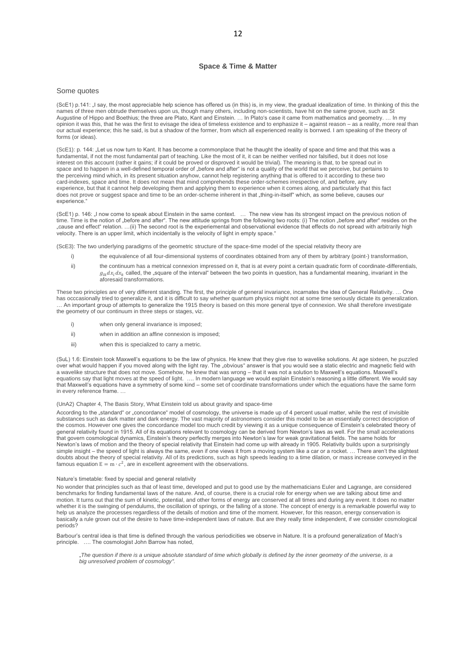# **Space & Time & Matter**

#### Some quotes

(ScE1) p.141: I say, the most appreciable help science has offered us (in this) is, in my view, the gradual idealization of time. In thinking of this the names of three men obtrude themselves upon us, though many others, including non-scientists, have hit on the same groove, such as St Augustine of Hippo and Boethius; the three are Plato, Kant and Einstein. … In Plato's case it came from mathematics and geometry. … In my opinion it was this, that he was the first to evisage the idea of timeless existence and to enphasize it – against reason – as a reality, more real than our actual experience; this he said, is but a shadow of the former, from which all experienced reality is borrwed. I am speaking of the theory of forms (or ideas).

(ScE1): p. 144: "Let us now turn to Kant. It has become a commonplace that he thaught the ideality of space and time and that this was a fundamental, if not the most fundamental part of teaching. Like the most of it, it can be neither verified nor falsified, but it does not lose interest on this account (rather it gains; if it could be proved or disproved it would be trivial). The meaning is that, to be spread out in space and to happen in a well-defined temporal order of "before and after" is not a quality of the world that we perceive, but pertains to the perceiving mind which, in its present situation anyhow, cannot help registering anything that is offered to it according to these two card-indexes, space and time. It does not mean that mind comprehends these order-schemes irrespective of, and before, any experience, but that it cannot help developing them and applying them to experience when it comes along, and particularly that this fact does not prove or suggest space and time to be an order-scheme inherent in that "thing-in-itself" which, as some believe, causes our experience.

(ScE1) p. 146: "I now come to speak about Einstein in the same context. … The new view has its strongest impact on the previous notion of time. Time is the notion of "before and after". The new attitude springs from the following two roots: (i) The notion "before and after" resides on the "cause and effect" relation. …(ii) The second root is the experiemental and observational evidence that effects do not spread with arbitrarily high  $\sim$  velocity. There is an upper limit, which incidentally is the velocity of light in empty space.

(ScE3): The two underlying paradigms of the geometric structure of the space-time model of the special relativity theory are

- i) the equivalence of all four-dimensional systems of coordinates obtained from any of them by arbitrary (point-) transformation,
- ii) the continuum has a metrical connexion impressed on it, that is at every point a certain quadratic form of coordinate-differentials,  $g_{ik}dx_i dx_k$  called, the "square of the interval" between the two points in question, has a fundamental meaning, invariant in the aforesaid transformations.

These two principles are of very different standing. The first, the principle of general invariance, incarnates the idea of General Relativity. … One has occcasionally tried to generalize it, and it is difficult to say whether quantum physics might not at some time seriously dictate its generalization. … An important group of attempts to generalize the 1915 theory is based on this more general tpye of connexion. We shall therefore investigate the geometry of our continuum in three steps or stages, viz.

- i) when only general invariance is imposed;
- ii) when in addition an affine connexion is imposed;
- iii) when this is specialized to carry a metric.

(SuL) 1.6: Einstein took Maxwell's equations to be the law of physics. He knew that they give rise to wavelike solutions. At age sixteen, he puzzled over what would happen if you moved along with the light ray. The "obvious" answer is that you would see a static electric and magnetic field with a wavelike structure that does not move. Somehow, he knew that was wrong – that it was not a solution to Maxwell's equations. Maxwell's equations say that light moves at the speed of light. …. In modern language we would explain Einstein's reasoning a little different. We would say that Maxwell's equations have a symmetry of some kind – some set of coordinate transformations under which the equations have the same form in every reference frame

#### (UnA2) Chapter 4, The Basis Story, What Einstein told us about gravity and space-time

According to the "standard" or "concordance" model of cosmology, the universe is made up of 4 percent usual matter, while the rest of invisible substances such as dark matter and dark energy. The vast majority of astronomers consider this model to be an essentially correct description of the cosmos. However one gives the concordance model too much credit by viewing it as a unique consequence of Einstein's celebrated theory of general relativity found in 1915. All of its equations relevant to cosmology can be derived from Newton's laws as well. For the small accelerations that govern cosmological dynamics, Einstein's theory perfectly merges into Newton's law for weak gravitational fields. The same holds for Newton's laws of motion and the theory of special relativity that Einstein had come up with already in 1905. Relativity builds upon a surprisingly simple insight – the speed of light is always the same, even if one views it from a moving system like a car or a rocket. … There aren't the slightest doubts about the theory of special relativity. All of its predictions, such as high speeds leading to a time dilation, or mass increase conveyed in the famous equation  $E = m \cdot c^2$ , are in excellent agreement with the observations.

#### Nature's timetable: fixed by special and general relativity

No wonder that principles such as that of least time, developed and put to good use by the mathematicians Euler and Lagrange, are considered benchmarks for finding fundamental laws of the nature. And, of course, there is a crucial role for energy when we are talking about time and motion. It turns out that the sum of kinetic, potential, and other forms of energy are conserved at all times and during any event. It does no matter whether it is the swinging of pendulums, the oscillation of springs, or the falling of a stone. The concept of energy is a remarkable powerful way to help us analyze the processes regardless of the details of motion and time of the moment. However, for this reason, energy conservation is basically a rule grown out of the desire to have time-independent laws of nature. But are they really time independent, if we consider cosmological periods?

Barbour's central idea is that time is defined through the various periodicities we observe in Nature. It is a profound generalization of Mach's principle. …. The cosmologist John Barrow has noted,

"*The question if there is a unique absolute standard of time which globally is defined by the inner geometry of the universe, is a big unresolved problem of cosmology".*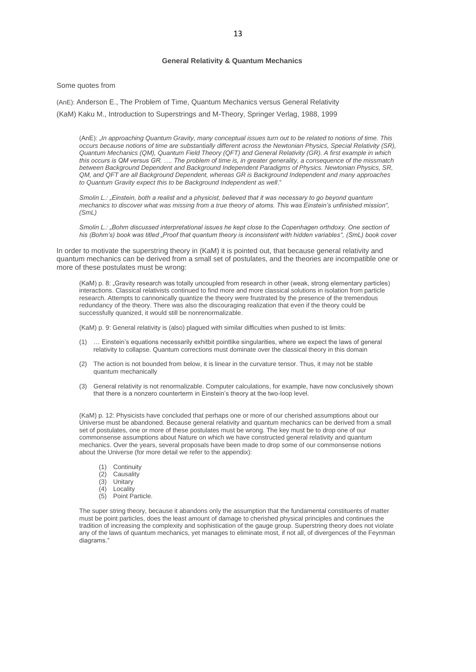# **General Relativity & Quantum Mechanics**

Some quotes from

(AnE): Anderson E., The Problem of Time, Quantum Mechanics versus General Relativity (KaM) Kaku M., Introduction to Superstrings and M-Theory, Springer Verlag, 1988, 1999

(AnE): "*In approaching Quantum Gravity, many conceptual issues turn out to be related to notions of time. This occurs because notions of time are substantially different across the Newtonian Physics, Special Relativity (SR), Quantum Mechanics (QM), Quantum Field Theory (QFT) and General Relativity (GR). A first example in which this occurs is QM versus GR. …. The problem of time is, in greater generality, a consequence of the missmatch between Background Dependent and Background Independent Paradigms of Physics. Newtonian Physics, SR, QM, and QFT are all Background Dependent, whereas GR is Background Independent and many approaches to Quantum Gravity expect this to be Background Independent as well*."

*Smolin L.: "Einstein, both a realist and a physicist, believed that it was necessary to go beyond quantum mechanics to discover what was missing from a true theory of atoms. This was Einstein's unfinished mission", (SmL)*

*Smolin L.: "Bohm discussed interpretational issues he kept close to the Copenhagen orthdoxy. One section of his (Bohm's) book was titled "Proof that quantum theory is inconsistent with hidden variables", (SmL) book cover*

In order to motivate the superstring theory in (KaM) it is pointed out, that because general relativity and quantum mechanics can be derived from a small set of postulates, and the theories are incompatible one or more of these postulates must be wrong:

(KaM) p. 8: "Gravity research was totally uncoupled from research in other (weak, strong elementary particles) interactions. Classical relativists continued to find more and more classical solutions in isolation from particle research. Attempts to cannonically quantize the theory were frustrated by the presence of the tremendous redundancy of the theory. There was also the discouraging realization that even if the theory could be successfully quanized, it would still be nonrenormalizable.

(KaM) p. 9: General relativity is (also) plagued with similar difficulties when pushed to ist limits:

- (1) … Einstein's equations necessarily exhitbit pointlike singularities, where we expect the laws of general relativity to collapse. Quantum corrections must dominate over the classical theory in this domain
- (2) The action is not bounded from below, it is linear in the curvature tensor. Thus, it may not be stable quantum mechanically
- (3) General relativity is not renormalizable. Computer calculations, for example, have now conclusively shown that there is a nonzero counterterm in Einstein's theory at the two-loop level.

(KaM) p. 12: Physicists have concluded that perhaps one or more of our cherished assumptions about our Universe must be abandoned. Because general relativity and quantum mechanics can be derived from a small set of postulates, one or more of these postulates must be wrong. The key must be to drop one of our commonsense assumptions about Nature on which we have constructed general relativity and quantum mechanics. Over the years, several proposals have been made to drop some of our commonsense notions about the Universe (for more detail we refer to the appendix):

- (1) Continuity<br>(2) Causality
- Causality
- (3) Unitary
- $(4)$  Locality
- (5) Point Particle.

The super string theory, because it abandons only the assumption that the fundamental constituents of matter must be point particles, does the least amount of damage to cherished physical principles and continues the tradition of increasing the complexity and sophistication of the gauge group. Superstring theory does not violate any of the laws of quantum mechanics, yet manages to eliminate most, if not all, of divergences of the Feynman diagrams."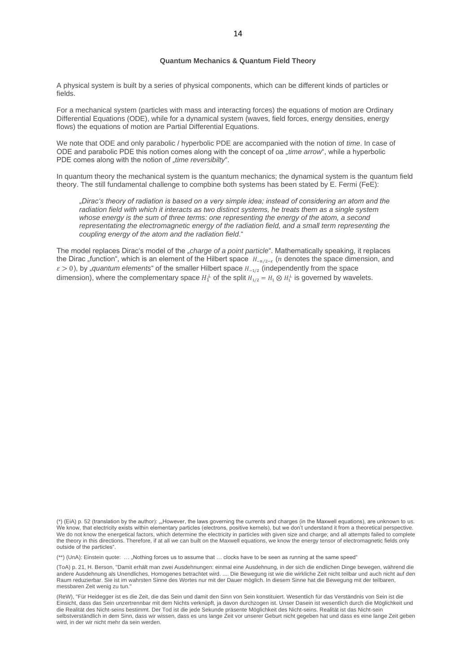# **Quantum Mechanics & Quantum Field Theory**

A physical system is built by a series of physical components, which can be different kinds of particles or fields.

For a mechanical system (particles with mass and interacting forces) the equations of motion are Ordinary Differential Equations (ODE), while for a dynamical system (waves, field forces, energy densities, energy flows) the equations of motion are Partial Differential Equations.

We note that ODE and only parabolic / hyperbolic PDE are accompanied with the notion of *time*. In case of ODE and parabolic PDE this notion comes along with the concept of oa "*time arrow*", while a hyperbolic PDE comes along with the notion of *"time reversibilty*".

In quantum theory the mechanical system is the quantum mechanics; the dynamical system is the quantum field theory. The still fundamental challenge to compbine both systems has been stated by E. Fermi (FeE):

"*Dirac's theory of radiation is based on a very simple idea; instead of considering an atom and the radiation field with which it interacts as two distinct systems, he treats them as a single system whose energy is the sum of three terms: one representing the energy of the atom, a second representating the electromagnetic energy of the radiation field, and a small term representing the coupling energy of the atom and the radiation field*."

The model replaces Dirac's model of the "*charge of a point particle*". Mathematically speaking, it replaces the Dirac "function", which is an element of the Hilbert space  $\ H_{-n/2-\varepsilon}$  ( $n$  denotes the space dimension, and  $\varepsilon > 0$ ), by "*quantum elements*" of the smaller Hilbert space  $H_{-1/2}$  (independently from the space dimension), where the complementary space  $H_1^{\perp}$  of the split  $H_{1/2} = H_1 \otimes H_1^{\perp}$  is governed by wavelets.

(\*\*) (UnA): Einstein quote: ... "Nothing forces us to assume that ... clocks have to be seen as running at the same speed"

(ToA) p. 21, H. Berson, "Damit erhält man zwei Ausdehnungen: einmal eine Ausdehnung, in der sich die endlichen Dinge bewegen, während die andere Ausdehnung als Unendliches, Homogenes betrachtet wird. .... Die Bewegung ist wie die wirkliche Zeit nicht teilbar und auch nicht auf den Raum reduzierbar. Sie ist im wahrsten Sinne des Wortes nur mit der Dauer möglich. In diesem Sinne hat die Bewegung mit der teilbaren, messbaren Zeit wenig zu tun."

(ReW), "Für Heidegger ist es die Zeit, die das Sein und damit den Sinn von Sein konstituiert. Wesentlich für das Verständnis von Sein ist die Einsicht, dass das Sein unzertrennbar mit dem Nichts verknüpft, ja davon durchzogen ist. Unser Dasein ist wesentlich durch die Möglichkeit und die Realität des Nicht-seins bestimmt. Der Tod ist die jede Sekunde präsente Möglichkeit des Nicht-seins. Realität ist das Nicht-sein selbstverständlich in dem Sinn, dass wir wissen, dass es uns lange Zeit vor unserer Geburt nicht gegeben hat und dass es eine lange Zeit geben wird, in der wir nicht mehr da sein werden.

<sup>(\*) (</sup>EiA) p. 52 (translation by the author): "However, the laws governing the currents and charges (in the Maxwell equations), are unknown to us. We know, that electricity exists within elementary particles (electrons, positive kernels), but we don't understand it from a theoretical perspective. We do not know the energetical factors, which determine the electricity in particles with given size and charge; and all attempts failed to complete the theory in this directions. Therefore, if at all we can built on the Maxwell equations, we know the energy tensor of electromagnetic fields only outside of the particles".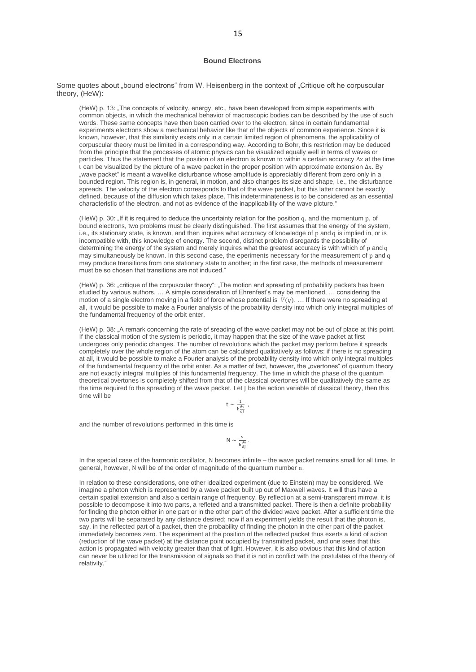#### **Bound Electrons**

Some quotes about "bound electrons" from W. Heisenberg in the context of "Critique oft he corpuscular theory, (HeW):

(HeW) p. 13: "The concepts of velocity, energy, etc., have been developed from simple experiments with common objects, in which the mechanical behavior of macroscopic bodies can be described by the use of such words. These same concepts have then been carried over to the electron, since in certain fundamental experiments electrons show a mechanical behavior like that of the objects of common experience. Since it is known, however, that this similarity exists only in a certain limited region of phenomena, the applicability of corpuscular theory must be limited in a corresponding way. According to Bohr, this restriction may be deduced from the principle that the processes of atomic physics can be visualized equally well in terms of waves or particles. Thus the statement that the position of an electron is known to within a certain accuracy ∆x at the time t can be visualized by the picture of a wave packet in the proper position with approximate extension ∆x. By "wave packet" is meant a wavelike disturbance whose amplitude is appreciably different from zero only in a bounded region. This region is, in general, in motion, and also changes its size and shape, i.e., the disturbance spreads. The velocity of the electron corresponds to that of the wave packet, but this latter cannot be exactly defined, because of the diffusion which takes place. This indeterminateness is to be considered as an essential characteristic of the electron, and not as evidence of the inapplicability of the wave picture."

(HeW) p. 30: "If it is required to deduce the uncertainty relation for the position q, and the momentum p, of bound electrons, two problems must be clearly distinguished. The first assumes that the energy of the system, i.e., its stationary state, is known, and then inquires what accuracy of knowledge of p and q is implied in, or is incompatible with, this knowledge of energy. The second, distinct problem disregards the possibility of determining the energy of the system and merely inquires what the greatest accuracy is with which of p and q may simultaneously be known. In this second case, the eperiments necessary for the measurement of p and q may produce transitions from one stationary state to another; in the first case, the methods of measurement must be so chosen that transitions are not induced."

(HeW) p. 36: ..critique of the corpuscular theory": ..The motion and spreading of probability packets has been studied by various authors, … A simple consideration of Ehrenfest's may be mentioned, … considering the motion of a single electron moving in a field of force whose potential is  $V(q)$ . ... If there were no spreading at all, it would be possible to make a Fourier analysis of the probability density into which only integral multiples of the fundamental frequency of the orbit enter.

(HeW) p. 38: "A remark concerning the rate of sreading of the wave packet may not be out of place at this point. If the classical motion of the system is periodic, it may happen that the size of the wave packet at first undergoes only periodic changes. The number of revolutions which the packet may perform before it spreads completely over the whole region of the atom can be calculated qualitatively as follows: if there is no spreading at all, it would be possible to make a Fourier analysis of the probability density into which only integral multiples of the fundamental frequency of the orbit enter. As a matter of fact, however, the "overtones" of quantum theory are not exactly integral multiples of this fundamental frequency. The time in which the phase of the quantum theoretical overtones is completely shifted from that of the classical overtones will be qualitatively the same as the time required fo the spreading of the wave packet. Let J be the action variable of classical theory, then this time will be

$$
t\sim \tfrac{1}{h\frac{\partial v}{\partial J}}\ ,
$$

and the number of revolutions performed in this time is

$$
N \sim \frac{v}{h \frac{\partial v}{\partial J}}.
$$

In the special case of the harmonic oscillator, N becomes infinite – the wave packet remains small for all time. In general, however, N will be of the order of magnitude of the quantum number n.

In relation to these considerations, one other idealized experiment (due to Einstein) may be considered. We imagine a photon which is represented by a wave packet built up out of Maxwell waves. It will thus have a certain spatial extension and also a certain range of frequency. By reflection at a semi-transparent mirrow, it is possible to decompose it into two parts, a refleted and a transmitted packet. There is then a definite probability for finding the photon either in one part or in the other part of the divided wave packet. After a sufficient time the two parts will be separated by any distance desired; now if an experiment yields the result that the photon is, say, in the reflected part of a packet, then the probability of finding the photon in the other part of the packet immediately becomes zero. The experiment at the position of the reflected packet thus exerts a kind of action (reduction of the wave packet) at the distance point occupied by transmitted packet, and one sees that this action is propagated with velocity greater than that of light. However, it is also obvious that this kind of action can never be utilized for the transmission of signals so that it is not in conflict with the postulates of the theory of relativity."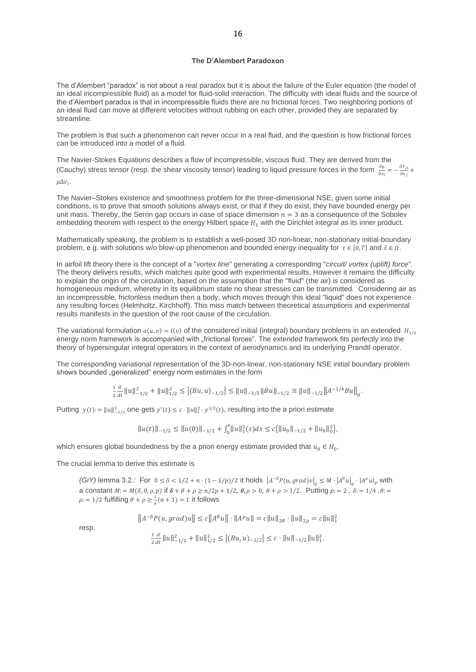#### **The D'Alembert Paradoxon**

The d'Alembert "paradox" is not about a real paradox but it is about the failure of the Euler equation (the model of an ideal incompressible fluid) as a model for fluid-solid interaction. The difficulty with ideal fluids and the source of the d'Alembert paradox is that in incompressible fluids there are no frictional forces. Two neighboring portions of an ideal fluid can move at different velocities without rubbing on each other, provided they are separated by streamline.

The problem is that such a phenomenon can never occur in a real fluid, and the question is how frictional forces can be introduced into a model of a fluid.

The Navier-Stokes Equations describes a flow of incompressible, viscous fluid. They are derived from the (Cauchy) stress tensor (resp. the shear viscosity tensor) leading to liquid pressure forces in the form  $\frac{\partial p}{\partial x}$  $\frac{\partial p}{\partial x_i} = -\frac{\partial T_{ji}}{\partial x_j}$  $\frac{\partial^2 f}{\partial x_j} +$  $\mu \Delta v_i$ .

The Navier–Stokes existence and smoothness problem for the three-dimensional NSE, given some initial conditions, is to prove that smooth solutions always exist, or that if they do exist, they have bounded energy per unit mass. Thereby, the Serrin gap occurs in case of space dimension  $n = 3$  as a consequence of the Sobolev embedding theorem with respect to the energy Hilbert space  $H_1$  with the Dirichlet integral as its inner product.

Mathematically speaking, the problem is to establish a well-posed 3D non-linear, non-stationary initial-boundary problem, e.g. with solutions w/o blow-up phenomenon and bounded energy inequality for  $t \in [0, T]$  and  $\vec{x} \in \Omega$ .

In airfoil lift theory there is the concept of a "*vortex line*" generating a corresponding "*circuit/ vortex (uplift) force*". The theory delivers results, which matches quite good with experimental results. However it remains the difficulty to explain the origin of the circulation, based on the assumption that the "fluid" (the air) is considered as homogeneous medium, whereby in its equilibrium state no shear stresses can be transmitted. Considering air as an incompressible, frictonless medium then a body, which moves through this ideal "liquid" does not experience any resulting forces (Helmholtz, Kirchhoff). This miss match between theoretical assumptions and experimental results manifests in the question of the root cause of the circulation.

The variational formulation  $a(u, v) = l(v)$  of the considered initial (integral) boundary problems in an extended  $H_{1/2}$ energy norm framework is accompanied with "frictional forces". The extended framework fits perfectly into the theory of hypersingular integral operators in the context of aerodynamics and its underlying Prandtl operator.

The corresponding variational representation of the 3D-non-linear, non-stationary NSE initial boundary problem shows bounded "generalized" energy norm estimates in the form

$$
\frac{1}{2}\frac{d}{dt}\|u\|_{-1/2}^2 + \|u\|_{1/2}^2 \le \left| (Bu, u)_{-1/2} \right| \le \|u\|_{-1/2} \|Bu\|_{-1/2} \cong \|u\|_{-1/2} \|A^{-1/4}Bu\|_0.
$$

Putting  $y(t) = ||u||^2_{-1/2}$  one gets  $y'(t) \le c \cdot ||u||^2_1 \cdot y^{1/2}(t)$ , resulting into the a priori estimate

$$
||u(t)||_{-1/2} \le ||u(0)||_{-1/2} + \int_0^t ||u||_1^2(s)ds \le c\{||u_0||_{-1/2} + ||u_0||_0^2\},
$$

which ensures global boundedness by the a priori energy estimate provided that  $u_0 \in H_0$ .

The crucial lemma to derive this estimate is

*(GiY)* lemma 3.2.: For  $0 \le \delta < 1/2 + n \cdot (1 - 1/p)/2$  it holds  $|A^{-\delta}P(u, grad)v|_p \le M \cdot |A^{\theta}u|_p \cdot |A^{\rho}u|_p$  with a constant  $M := M(\delta, \theta, \rho, p)$  if  $\delta + \theta + \rho \ge n/2p + 1/2$ ,  $\theta, \rho > 0$ ,  $\theta + \rho > 1/2$ . Putting  $p = 2$ ,  $\delta = 1/4$ ,  $\theta =$  $\rho$ : = 1/2 fulfilling  $\theta + \rho \geq \frac{1}{2}$  $\frac{1}{4}(n+1) = 1$  it follows

 $||A^{-\delta}P(u, grad)u|| \leq c||A^{\theta}u|| \cdot ||A^{\rho}u|| = c||u||_{2\theta} \cdot ||u||_{2\rho} = c||u||_1^2$ 

resp*.* 

1 2  $\boldsymbol{d}$  $\frac{d}{dt} ||u||_{-1/2}^2 + ||u||_{1/2}^2 \le |(Bu, u)_{-1/2}| \le c \cdot ||u||_{-1/2} ||u||_1^2.$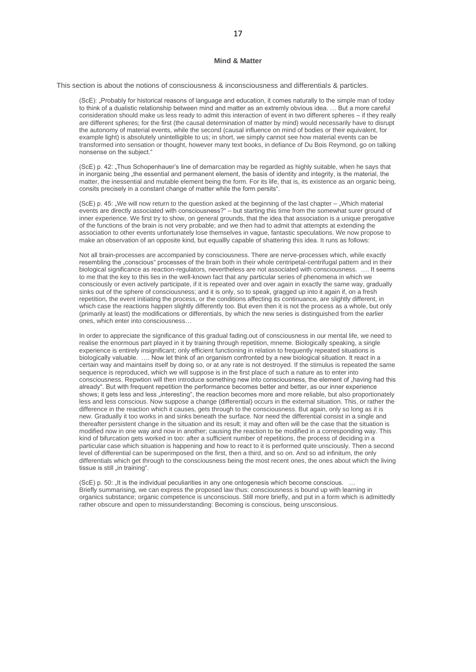# **Mind & Matter**

This section is about the notions of consciousness & inconsciousness and differentials & particles.

(ScE): "Probably for historical reasons of language and education, it comes naturally to the simple man of today to think of a dualistic relationship between mind and matter as an extremly obvious idea. … But a more careful consideration should make us less ready to admit this interaction of event in two different spheres – if they really are different spheres; for the first (the causal determination of matter by mind) would necessarily have to disrupt the autonomy of material events, while the second (causal influence on mind of bodies or their equivalent, for example light) is absolutely unintelligible to us; in short, we simply cannot see how material events can be transformed into sensation or thought, however many text books, in defiance of Du Bois Reymond, go on talking nonsense on the subject."

(ScE) p. 42: "Thus Schopenhauer's line of demarcation may be regarded as highly suitable, when he says that in inorganic being "the essential and permanent element, the basis of identity and integrity, is the material, the matter, the inessential and mutable element being the form. For its life, that is, its existence as an organic being, consits precisely in a constant change of matter while the form persits".

(ScE) p. 45: "We will now return to the question asked at the beginning of the last chapter – "Which material events are directly associated with consciousness?" – but starting this time from the somewhat surer ground of inner experience. We first try to show, on general grounds, that the idea that association is a unique prerogative of the functions of the brain is not very probable; and we then had to admit that attempts at extending the association to other events unfortunately lose themselves in vague, fantastic speculations. We now propose to make an observation of an opposite kind, but equallly capable of shattering this idea. It runs as follows:

Not all brain-processes are accompanied by consciousness. There are nerve-processes which, while exactly resembling the "conscious" processes of the brain both in their whole centripetal-centrifugal pattern and in their biological significance as reaction-regulators, nevertheless are not associated with consciousness. …. It seems to me that the key to this lies in the well-known fact that any particular series of phenomena in which we consciously or even actively participate, if it is repeated over and over again in exactly the same way, gradually sinks out of the sphere of consciousness; and it is only, so to speak, gragged up into it again if, on a fresh repetition, the event initiating the process, or the conditions affecting its continuance, are slightly different, in which case the reactions happen slightly differently too. But even then it is not the process as a whole, but only (primarily at least) the modifications or differentials, by which the new series is distinguished from the earlier ones, which enter into consciousness…

In order to appreciate the significance of this gradual fading.out of consciousness in our mental life, we need to realise the enormous part played in it by training through repetition, mneme. Biologically speaking, a single experience is entirely insignificant; only efficient functioning in relation to frequently repeated situations is biologically valuable. …. Now let think of an organism confronted by a new biological situation. It react in a certain way and maintains itself by doing so, or at any rate is not destroyed. If the stimulus is repeated the same sequence is reproduced, which we will suppose is in the first place of such a nature as to enter into consciousness. Repwtion will then introduce something new into consciousness, the element of "having had this already". But with frequent repetition the performance becomes better and better, as our inner experience shows; it gets less and less "interesting", the reaction becomes more and more reliable, but also proportionately less and less conscious. Now suppose a change (differential) occurs in the external situation. This, or rather the difference in the reaction which it causes, gets through to the consciousness. But again, only so long as it is new. Gradually it too works in and sinks beneath the surface. Nor need the differential consist in a single and thereafter persistent change in the situation and its result; it may and often will be the case that the situation is modified now in one way and now in another; causing the reaction to be modified in a corresponding way. This kind of bifurcation gets worked in too: after a sufficient number of repetitions, the process of deciding in a particular case which situation is happening and how to react to it is performed quite unsciously. Then a second level of differential can be superimposed on the first, then a third, and so on. And so ad infinitum, the only differentials which get through to the consciousness being the most recent ones, the ones about which the living tissue is still "in training".

(ScE) p. 50: "It is the individual peculiarities in any one ontogenesis which become conscious. ... Briefly summarising, we can express the proposed law thus: consciousness is bound up with learning in organics substance; organic competence is unconscious. Still more briefly, and put in a form which is admittedly rather obscure and open to missunderstanding: Becoming is conscious, being unsconsious.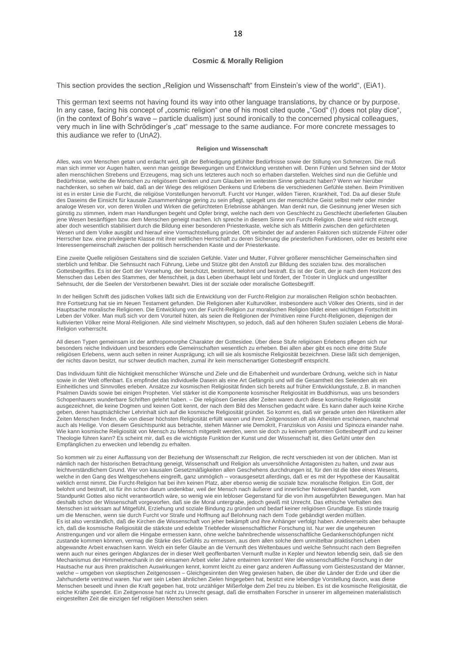## **Cosmic & Morally Religion**

This section provides the section ..Religion und Wissenschaft" from Einstein's view of the world", (EiA1).

This german text seems not having found its way into other language translations, by chance or by purpose. In any case, facing his concept of "cosmic religion" one of his most cited quote ""God" (!) does not play dice", (in the context of Bohr's wave – particle dualism) just sound ironically to the concerned physical colleagues, very much in line with Schrödinger's "cat" message to the same audiance. For more concrete messages to this audiance we refer to (UnA2).

#### **Religion und Wissenschaft**

Alles, was von Menschen getan und erdacht wird, gilt der Befriedigung gefühlter Bedürfnisse sowie der Stillung von Schmerzen. Die muß man sich immer vor Augen halten, wenn man geistige Bewegungen und Entwicklung verstehen will. Denn Fühlen und Sehnen sind der Motor allen menschlichen Strebens und Erzeugens, mag sich uns letzteres auch noch so erhaben darstellen. Welches sind nun die Gefühle und Bedürfnisse, welche die Menschen zu religiösem Denken und zum Glauben im weitesten Sinne gebracht haben? Wenn wir hierüber nachdenken, so sehen wir bald, daß an der Wiege des religiösen Denkens und Erlebens die verschiedenen Gefühle stehen. Beim Primitiven ist es in erster Linie die Furcht, die religiöse Vorstellungen hervorruft. Furcht vor Hunger, wilden Tieren, Krankheit, Tod. Da auf dieser Stufe des Daseins die Einsicht für kausale Zusammenhänge gering zu sein pflegt, spiegelt uns der menschliche Geist selbst mehr oder minder analoge Wesen vor, von deren Wollen und Wirken die gefürchteten Erlebnisse abhängen. Man denkt nun, die Gesinnung jener Wesen sich günstig zu stimmen, indem man Handlungen begeht und Opfer bringt, welche nach dem von Geschlecht zu Geschlecht überlieferten Glauben jene Wesen besänftigen bzw. dem Menschen geneigt machen. Ich spreche in diesem Sinne von Furcht-Religion. Diese wird nicht erzeugt, aber doch wesentlich stabilisiert durch die Bildung einer besonderen Priesterkaste, welche sich als Mittlerin zwischen den gefürchteten Wesen und dem Volke ausgibt und hierauf eine Vormachtstellung gründet. Oft verbindet der auf anderen Faktoren sich stützende Führer oder Herrscher bzw. eine privilegierte Klasse mit ihrer weltlichen Herrschaft zu deren Sicherung die priesterlichen Funktionen, oder es besteht eine Interessengemeinschaft zwischen der politisch herrschenden Kaste und der Priesterkaste.

Eine zweite Quelle religiösen Gestaltens sind die sozialen Gefühle. Vater und Mutter, Führer größerer menschlicher Gemeinschaften sind sterblich und fehlbar. Die Sehnsucht nach Führung, Liebe und Stütze gibt den Anstoß zur Bildung des sozialen bzw. des moralischen Gottesbegriffes. Es ist der Gott der Vorsehung, der beschützt, bestimmt, belohnt und bestraft. Es ist der Gott, der je nach dem Horizont des Menschen das Leben des Stammes, der Menschheit, ja das Leben überhaupt liebt und fördert, der Tröster in Unglück und ungestillter Sehnsucht, der die Seelen der Verstorbenen bewahrt. Dies ist der soziale oder moralische Gottesbegriff.

In der heiligen Schrift des jüdischen Volkes läßt sich die Entwicklung von der Furcht-Religion zur moralischen Religion schön beobachten. Ihre Fortsetzung hat sie im Neuen Testament gefunden. Die Religionen aller Kulturvölker, insbesondere auch Völker des Orients, sind in der Hauptsache moralische Religionen. Die Entwicklung von der Furcht-Religion zur moralischen Religion bildet einen wichtigen Fortschritt im Leben der Völker. Man muß sich vor dem Vorurteil hüten, als seien die Religionen der Primitiven reine Furcht-Religionen, diejenigen der kultivierten Völker reine Moral-Religionen. Alle sind vielmehr Mischtypen, so jedoch, daß auf den höheren Stufen sozialen Lebens die Moral-Religion vorherrscht.

All diesen Typen gemeinsam ist der anthropomorphe Charakter der Gottesidee. Über diese Stufe religiösen Erlebens pflegen sich nur besonders reiche Individuen und besonders edle Gemeinschaften wesentlich zu erheben. Bei allen aber gibt es noch eine dritte Stufe religiösen Erlebens, wenn auch selten in reiner Ausprägung; ich will sie als kosmische Religiosität bezeichnen. Diese läßt sich demjenigen, der nichts davon besitzt, nur schwer deutlich machen, zumal ihr kein menschenartiger Gottesbegriff entspricht.

Das Individuum fühlt die Nichtigkeit menschlicher Wünsche und Ziele und die Erhabenheit und wunderbare Ordnung, welche sich in Natur sowie in der Welt offenbart. Es empfindet das individuelle Dasein als eine Art Gefängnis und will die Gesamtheit des Seienden als ein Einheitliches und Sinnvolles erleben. Ansätze zur kosmischen Religiosität finden sich bereits auf früher Entwicklungsstufe, z.B. in manchen Psalmen Davids sowie bei einigen Propheten. Viel stärker ist die Komponente kosmischer Religiosität im Buddhismus, was uns besonders Schopenhauers wunderbare Schriften gelehrt haben. – Die religiösen Genies aller Zeiten waren durch diese kosmische Religiosität ausgezeichnet, die keine Dogmen und keinen Gott kennt, der nach dem Bild des Menschen gedacht wäre. Es kann daher auch keine Kirche geben, deren hauptsächlicher Lehrinhalt sich auf die kosmische Religiosität gründet. So kommt es, daß wir gerade unten den Häretikern aller Zeiten Menschen finden, die von dieser höchsten Religiosität erfüllt waren und ihren Zeitgenossen oft als Atheisten erschienen, manchmal auch als Heilige. Von diesem Gesichtspunkt aus betrachte, stehen Männer wie Demokrit, Franziskus von Assisi und Spinoza einander nahe. Wie kann kosmische Religiosität von Mensch zu Mensch mitgeteilt werden, wenn sie doch zu keinem geformten Gottesbegriff und zu keiner Theologie führen kann? Es scheint mir, daß es die wichtigste Funktion der Kunst und der Wissenschaft ist, dies Gefühl unter den Empfänglichen zu erwecken und lebendig zu erhalten.

So kommen wir zu einer Auffassung von der Beziehung der Wissenschaft zur Religion, die recht verschieden ist von der üblichen. Man ist nämlich nach der historischen Betrachtung geneigt, Wissenschaft und Religion als unversöhnliche Antagonisten zu halten, und zwar aus leichtverständlichem Grund. Wer von kausalen Gesetzmäßigkeiten allen Geschehens durchdrungen ist, für den ist die Idee eines Wesens welche in den Gang des Weltgeschehens eingreift, ganz unmöglich – vorausgesetzt allerdings, daß er es mit der Hypothese der Kausalität wirklich ernst nimmt. Die Furcht-Religion hat bei ihm keinen Platz, aber ebenso wenig die soziale bzw. moralische Religion. Ein Gott, der belohnt und bestraft, ist für ihn schon darum undenkbar, weil der Mensch nach äußerer und innerlicher Notwendigkeit handelt, vom Standpunkt Gottes also nicht verantwortlich wäre, so wenig wie ein lebloser Gegenstand für die von ihm ausgeführten Bewegungen. Man hat deshalb schon der Wissenschaft vorgeworfen, daß sie die Moral untergrabe, jedoch gewiß mit Unrecht. Das ethische Verhalten des Menschen ist wirksam auf Mitgefühl, Erziehung und soziale Bindung zu gründen und bedarf keiner religiösen Grundlage. Es stünde traurig um die Menschen, wenn sie durch Furcht vor Strafe und Hoffnung auf Belohnung nach dem Tode gebändigt werden müßten. Es ist also verständlich, daß die Kirchen die Wissenschaft von jeher bekämpft und ihre Anhänger verfolgt haben. Andererseits aber behaupte ich, daß die kosmische Religiosität die stärkste und edelste Triebfeder wissenschaftlicher Forschung ist. Nur wer die ungeheuren Anstrengungen und vor allem die Hingabe ermessen kann, ohne welche bahnbrechende wissenschaftliche Gedankenschöpfungen nicht zustande kommen können, vermag die Stärke des Gefühls zu ermessen, aus dem allen solche dem unmittelbar praktischen Leben abgewandte Arbeit erwachsen kann. Welch ein tiefer Glaube an die Vernunft des Weltenbaues und welche Sehnsucht nach dem Begreifen wenn auch nur eines geringen Abglanzes der in dieser Welt geoffenbarten Vernunft mußte in Kepler und Newton lebendig sein, daß sie den Mechanismus der Himmelsmechanik in der einsamen Arbeit vieler Jahre entwirren konnten! Wer die wissenschaftliche Forschung in der Hautsache nur aus ihren praktischen Auswirkungen kennt, kommt leicht zu einer ganz anderen Auffassung vom Geisteszustand der Männer, welche – umgeben von skeptischen Zeitgenossen – Gleichgesinnten den Weg gewiesen haben, die über die Länder der Erde und über die Jahrhunderte verstreut waren. Nur wer sein Leben ähnlichen Zielen hingegeben hat, besitzt eine lebendige Vorstellung davon, was diese Menschen beseelt und ihnen die Kraft gegeben hat, trotz unzähliger Mißerfolge dem Ziel treu zu bleiben. Es ist die kosmische Religiosität, die solche Kräfte spendet. Ein Zeitgenosse hat nicht zu Unrecht gesagt, daß die ernsthalten Forscher in unserer im allgemeinen materialistisch eingestellten Zeit die einzigen tief religiösen Menschen seien.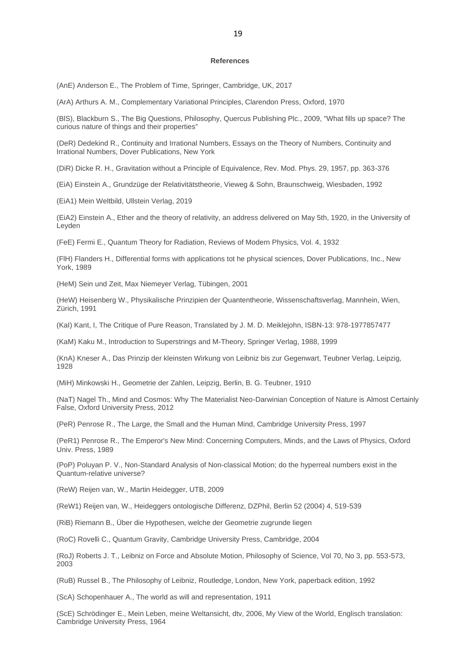#### **References**

(AnE) Anderson E., The Problem of Time, Springer, Cambridge, UK, 2017

(ArA) Arthurs A. M., Complementary Variational Principles, Clarendon Press, Oxford, 1970

(BlS), Blackburn S., The Big Questions, Philosophy, Quercus Publishing Plc., 2009, "What fills up space? The curious nature of things and their properties"

(DeR) Dedekind R., Continuity and Irrational Numbers, Essays on the Theory of Numbers, Continuity and Irrational Numbers, Dover Publications, New York

(DiR) Dicke R. H., Gravitation without a Principle of Equivalence, Rev. Mod. Phys. 29, 1957, pp. 363-376

(EiA) Einstein A., Grundzüge der Relativitätstheorie, Vieweg & Sohn, Braunschweig, Wiesbaden, 1992

(EiA1) Mein Weltbild, Ullstein Verlag, 2019

(EiA2) Einstein A., Ether and the theory of relativity, an address delivered on May 5th, 1920, in the University of Leyden

(FeE) Fermi E., Quantum Theory for Radiation, Reviews of Modern Physics, Vol. 4, 1932

(FlH) Flanders H., Differential forms with applications tot he physical sciences, Dover Publications, Inc., New York, 1989

(HeM) Sein und Zeit, Max Niemeyer Verlag, Tübingen, 2001

(HeW) Heisenberg W., Physikalische Prinzipien der Quantentheorie, Wissenschaftsverlag, Mannhein, Wien, Zürich, 1991

(KaI) Kant, I, The Critique of Pure Reason, Translated by J. M. D. Meiklejohn, ISBN-13: 978-1977857477

(KaM) Kaku M., Introduction to Superstrings and M-Theory, Springer Verlag, 1988, 1999

(KnA) Kneser A., Das Prinzip der kleinsten Wirkung von Leibniz bis zur Gegenwart, Teubner Verlag, Leipzig, 1928

(MiH) Minkowski H., Geometrie der Zahlen, Leipzig, Berlin, B. G. Teubner, 1910

(NaT) Nagel Th., Mind and Cosmos: Why The Materialist Neo-Darwinian Conception of Nature is Almost Certainly False, Oxford University Press, 2012

(PeR) Penrose R., The Large, the Small and the Human Mind, Cambridge University Press, 1997

(PeR1) Penrose R., The Emperor's New Mind: Concerning Computers, Minds, and the Laws of Physics, Oxford Univ. Press, 1989

(PoP) Poluyan P. V., Non-Standard Analysis of Non-classical Motion; do the hyperreal numbers exist in the Quantum-relative universe?

(ReW) Reijen van, W., Martin Heidegger, UTB, 2009

(ReW1) Reijen van, W., Heideggers ontologische Differenz, DZPhil, Berlin 52 (2004) 4, 519-539

(RiB) Riemann B., Über die Hypothesen, welche der Geometrie zugrunde liegen

(RoC) Rovelli C., Quantum Gravity, Cambridge University Press, Cambridge, 2004

(RoJ) Roberts J. T., Leibniz on Force and Absolute Motion, Philosophy of Science, Vol 70, No 3, pp. 553-573, 2003

(RuB) Russel B., The Philosophy of Leibniz, Routledge, London, New York, paperback edition, 1992

(ScA) Schopenhauer A., The world as will and representation, 1911

(ScE) Schrödinger E., Mein Leben, meine Weltansicht, dtv, 2006, My View of the World, Englisch translation: Cambridge University Press, 1964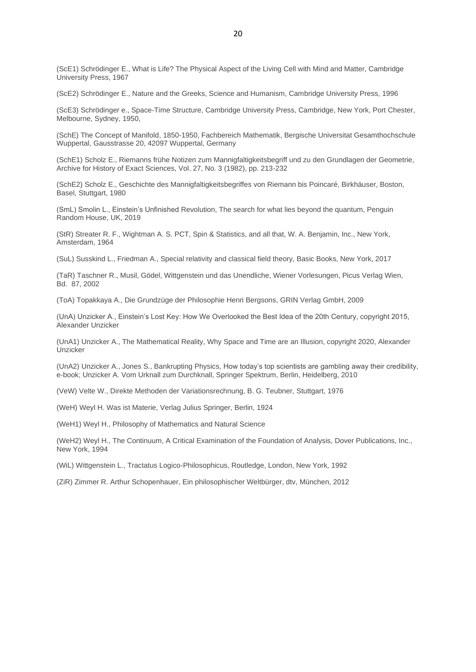(ScE1) Schrödinger E., What is Life? The Physical Aspect of the Living Cell with Mind and Matter, Cambridge University Press, 1967

(ScE2) Schrödinger E., Nature and the Greeks, Science and Humanism, Cambridge University Press, 1996

(ScE3) Schrödinger e., Space-Time Structure, Cambridge University Press, Cambridge, New York, Port Chester, Melbourne, Sydney, 1950,

(SchE) The Concept of Manifold, 1850-1950, Fachbereich Mathematik, Bergische Universitat Gesamthochschule Wuppertal, Gausstrasse 20, 42097 Wuppertal, Germany

(SchE1) Scholz E., Riemanns frühe Notizen zum Mannigfaltigkeitsbegriff und zu den Grundlagen der Geometrie, Archive for History of Exact Sciences, Vol. 27, No. 3 (1982), pp. 213-232

(SchE2) Scholz E., Geschichte des Mannigfaltigkeitsbegriffes von Riemann bis Poincaré, Birkhäuser, Boston, Basel, Stuttgart, 1980

(SmL) Smolin L., Einstein's Unfinished Revolution, The search for what lies beyond the quantum, Penguin Random House, UK, 2019

(StR) Streater R. F., Wightman A. S. PCT, Spin & Statistics, and all that, W. A. Benjamin, Inc., New York, Amsterdam, 1964

(SuL) Susskind L., Friedman A., Special relativity and classical field theory, Basic Books, New York, 2017

(TaR) Taschner R., Musil, Gödel, Wittgenstein und das Unendliche, Wiener Vorlesungen, Picus Verlag Wien, Bd. 87, 2002

(ToA) Topakkaya A., Die Grundzüge der Philosophie Henri Bergsons, GRIN Verlag GmbH, 2009

(UnA) Unzicker A., Einstein's Lost Key: How We Overlooked the Best Idea of the 20th Century, copyright 2015, Alexander Unzicker

(UnA1) Unzicker A., The Mathematical Reality, Why Space and Time are an Illusion, copyright 2020, Alexander Unzicker

(UnA2) Unzicker A., Jones S., Bankrupting Physics, How today's top scientists are gambling away their credibility, e-book; Unzicker A. Vom Urknall zum Durchknall, Springer Spektrum, Berlin, Heidelberg, 2010

(VeW) Velte W., Direkte Methoden der Variationsrechnung, B. G. Teubner, Stuttgart, 1976

(WeH) Weyl H. Was ist Materie, Verlag Julius Springer, Berlin, 1924

(WeH1) Weyl H., Philosophy of Mathematics and Natural Science

(WeH2) Weyl H., The Continuum, A Critical Examination of the Foundation of Analysis, Dover Publications, Inc., New York, 1994

(WiL) Wittgenstein L., Tractatus Logico-Philosophicus, Routledge, London, New York, 1992

(ZiR) Zimmer R. Arthur Schopenhauer, Ein philosophischer Weltbürger, dtv, München, 2012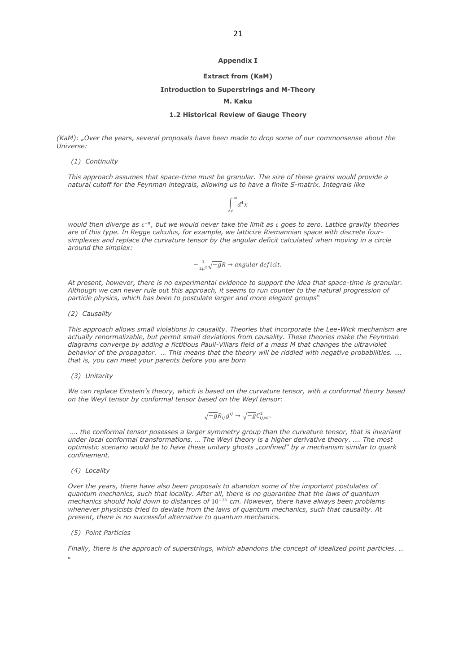# **Appendix I**

#### **Extract from (KaM)**

#### **Introduction to Superstrings and M-Theory**

#### **M. Kaku**

# **1.2 Historical Review of Gauge Theory**

*(KaM): "Over the years, several proposals have been made to drop some of our commonsense about the Universe:*

*(1) Continuity* 

*This approach assumes that space-time must be granular. The size of these grains would provide a natural cutoff for the Feynman integrals, allowing us to have a finite S-matrix. Integrals like*

*would then diverge as ε<sup>-n</sup>, but we would never take the limit as <i>ε goes to zero. Lattice gravity theories are of this type. In Regge calculus, for example, we latticize Riemannian space with discrete foursimplexes and replace the curvature tensor by the angular deficit calculated when moving in a circle around the simplex:*

 $\int_0^\infty d^4x$ ε

$$
-\frac{1}{2\mu^2}\sqrt{-g}R \to angular \, deficit.
$$

*At present, however, there is no experimental evidence to support the idea that space-time is granular. Although we can never rule out this approach, it seems to run counter to the natural progression of particle physics, which has been to postulate larger and more elegant groups"*

*(2) Causality* 

*This approach allows small violations in causality. Theories that incorporate the Lee-Wick mechanism are actually renormalizable, but permit small deviations from causality. These theories make the Feynman diagrams converge by adding a fictitious Pauli-Villars field of a mass M that changes the ultraviolet behavior of the propagator. … This means that the theory will be riddled with negative probabilities. …. that is, you can meet your parents before you are born*

*(3) Unitarity* 

*We can replace Einstein's theory, which is based on the curvature tensor, with a conformal theory based on the Weyl tensor by conformal tensor based on the Weyl tensor:*

$$
\sqrt{-g}R_{ij}g^{ij}\rightarrow \sqrt{-g}C_{ij\rho\sigma}^{2}.
$$

*…. the conformal tensor posesses a larger symmetry group than the curvature tensor, that is invariant under local conformal transformations. … The Weyl theory is a higher derivative theory. …. The most optimistic scenario would be to have these unitary ghosts "confined" by a mechanism similar to quark confinement.*

*(4) Locality* 

*Over the years, there have also been proposals to abandon some of the important postulates of quantum mechanics, such that locality. After all, there is no guarantee that the laws of quantum mechanics should hold down to distances of* 10−33 *cm. However, there have always been problems whenever physicists tried to deviate from the laws of quantum mechanics, such that causality. At present, there is no successful alternative to quantum mechanics.*

*(5) Point Particles* 

*Finally, there is the approach of superstrings, which abandons the concept of idealized point particles. …*  "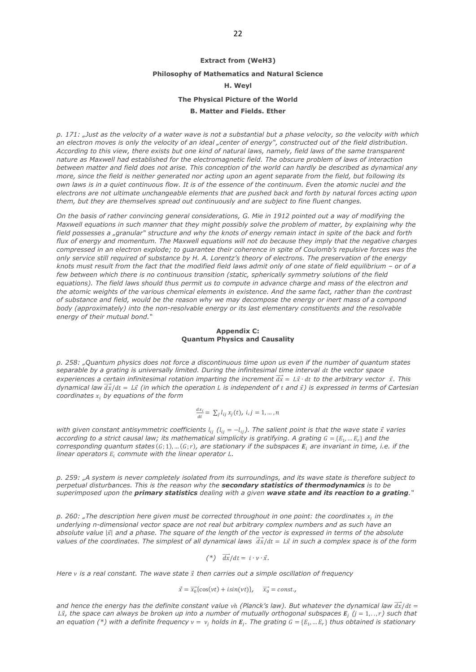# **Extract from (WeH3)**

#### **Philosophy of Mathematics and Natural Science**

# **H. Weyl**

# **The Physical Picture of the World**

# **B. Matter and Fields. Ether**

*p. 171: "Just as the velocity of a water wave is not a substantial but a phase velocity, so the velocity with which an electron moves is only the velocity of an ideal "center of energy", constructed out of the field distribution. According to this view, there exists but one kind of natural laws, namely, field laws of the same transparent nature as Maxwell had established for the electromagnetic field. The obscure problem of laws of interaction between matter and field does not arise. This conception of the world can hardly be described as dynamical any more, since the field is neither generated nor acting upon an agent separate from the field, but following its own laws is in a quiet continuous flow. It is of the essence of the continuum. Even the atomic nuclei and the electrons are not ultimate unchangeable elements that are pushed back and forth by natural forces acting upon them, but they are themselves spread out continuously and are subject to fine fluent changes.*

*On the basis of rather convincing general considerations, G. Mie in 1912 pointed out a way of modifying the Maxwell equations in such manner that they might possibly solve the problem of matter, by explaining why the field possesses a "granular" structure and why the knots of energy remain intact in spite of the back and forth flux of energy and momentum. The Maxwell equations will not do because they imply that the negative charges compressed in an electron explode; to guarantee their coherence in spite of Coulomb's repulsive forces was the only service still required of substance by H. A. Lorentz's theory of electrons. The preservation of the energy knots must result from the fact that the modified field laws admit only of one state of field equilibrium - or of a few between which there is no continuous transition (static, spherically symmetry solutions of the field equations). The field laws should thus permit us to compute in advance charge and mass of the electron and the atomic weights of the various chemical elements in existence. And the same fact, rather than the contrast of substance and field, would be the reason why we may decompose the energy or inert mass of a compond body (approximately) into the non-resolvable energy or its last elementary constituents and the resolvable energy of their mutual bond."*

# **Appendix C: Quantum Physics and Causality**

*p. 258: "Quantum physics does not force a discontinuous time upon us even if the number of quantum states separable by a grating is universally limited. During the infinitesimal time interval*  $dt$  *the vector space experiences a certain infinitesimal rotation imparting the increment*  $\vec{dx} = L\vec{x} \cdot dt$  *to the arbitrary vector*  $\vec{x}$ *. This dynamical law* ⃗⃗⃗⃗⃗/ = ⃗ *(in which the operation is independent of and* ⃗*) is expressed in terms of Cartesian coordinates by equations of the form*

$$
\frac{dx_i}{dt} = \sum_j l_{ij} x_j(t), \ i, j = 1, \dots, n
$$

*with given constant antisymmetric coefficients*  $l_{ij}$  *(* $l_{ij} = -l_{ij}$ *). The salient point is that the wave state*  $\vec{x}$  *varies according to a strict causal law; its mathematical simplicity is gratifying. A grating*  $G = \{E_1, ..., E_r\}$  *and the corresponding quantum states*  $(G, 1)$ , ...  $(G, r)$ , are stationary if the subspaces  $E_i$  are invariant in time, i.e. if the *linear operators*  $E_i$  commute with the linear operator  $L$ .

*p. 259: "A system is never completely isolated from its surroundings, and its wave state is therefore subject to perpetual disturbances. This is the reason why the secondary statistics of thermodynamics is to be superimposed upon the primary statistics dealing with a given wave state and its reaction to a grating."*

*p. 260: "The description here given must be corrected throughout in one point: the coordinates in the underlying n-dimensional vector space are not real but arbitrary complex numbers and as such have an absolute value* |⃗| *and a phase. The square of the length of the vector is expressed in terms of the absolute values of the coordinates. The simplest of all dynamical laws*  $\frac{d\vec{x}}{dt}$  =  $\frac{d\vec{x}}{dt}$  *in such a complex space is of the form* 

$$
(*)\quad \overrightarrow{dx}/dt = i \cdot \nu \cdot \vec{x}.
$$

*Here v is a real constant. The wave state*  $\vec{x}$  *then carries out a simple oscillation of frequency* 

$$
\vec{x} = \vec{x_0} \{ \cos(vt) + i \sin(vt) \}, \quad \vec{x_0} = const.
$$

and hence the energy has the definite constant value *vh* (Planck's law). But whatever the dynamical law  $\vec{dx}/dt =$  $L\vec{x}$ , the space can always be broken up into a number of mutually orthogonal subspaces  $E_i$   $(j = 1, ..., r)$  such that an equation (\*) with a definite frequency  $v = v_j$  holds in  $E_j$ . The grating  $G = \{E_1,...E_r\}$  thus obtained is stationary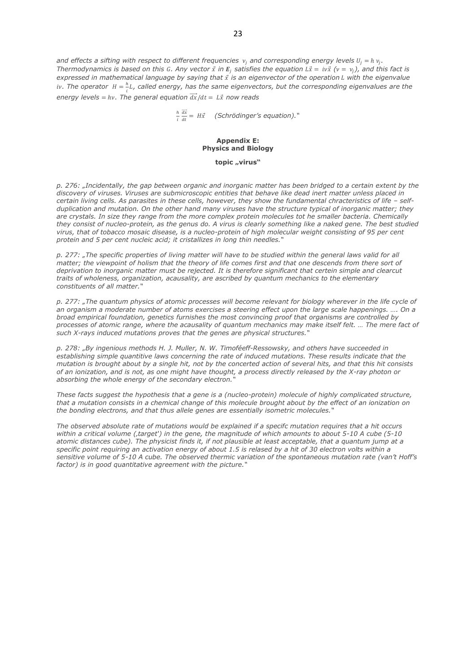and effects a sifting with respect to different frequencies  $\,v_j$  and corresponding energy levels  $U_j = h\,v_j.$ *Thermodynamics is based on this G. Any vector*  $\vec{x}$  *in*  $\vec{E}_i$  *satisfies the equation*  $L\vec{x} = iv\vec{x}$  ( $v = v_i$ ), and this fact is *expressed in mathematical language by saying that*  $\vec{x}$  *is an eigenvector of the operation L with the eigenvalue iv.* The operator  $H = \frac{h}{l}$  $\frac{n}{t}L$ , called energy, has the same eigenvectors, but the corresponding eigenvalues are the *energy levels = hv. The general equation*  $\overrightarrow{dx}/dt = L\overrightarrow{x}$  *now reads* 

> ℎ i  $\overline{dx}$  $\frac{dx}{dt} = H\ddot{x}$  (Schrödinger's equation)."

# **Appendix E: Physics and Biology**

topic "virus"

*p. 276: "Incidentally, the gap between organic and inorganic matter has been bridged to a certain extent by the discovery of viruses. Viruses are submicroscopic entities that behave like dead inert matter unless placed in*  certain living cells. As parasites in these cells, however, they show the fundamental chracteristics of life - self*duplication and mutation. On the other hand many viruses have the structure typical of inorganic matter; they are crystals. In size they range from the more complex protein molecules tot he smaller bacteria. Chemically they consist of nucleo-protein, as the genus do. A virus is clearly something like a naked gene. The best studied virus, that of tobacco mosaic disease, is a nucleo-protein of high molecular weight consisting of 95 per cent protein and 5 per cent nucleic acid; it cristallizes in long thin needles."*

*p. 277: "The specific properties of living matter will have to be studied within the general laws valid for all matter; the viewpoint of holism that the theory of life comes first and that one descends from there sort of deprivation to inorganic matter must be rejected. It is therefore significant that certein simple and clearcut traits of wholeness, organization, acausality, are ascribed by quantum mechanics to the elementary constituents of all matter."*

*p. 277: "The quantum physics of atomic processes will become relevant for biology wherever in the life cycle of an organism a moderate number of atoms exercises a steering effect upon the large scale happenings. …. On a broad empirical foundation, genetics furnishes the most convincing proof that organisms are controlled by processes of atomic range, where the acausality of quantum mechanics may make itself felt. … The mere fact of such X-rays induced mutations proves that the genes are physical structures."*

*p. 278: "By ingenious methods H. J. Muller, N. W. Timoféeff-Ressowsky, and others have succeeded in*  establishing simple quantitive laws concerning the rate of induced mutations. These results indicate that the *mutation is brought about by a single hit, not by the concerted action of several hits, and that this hit consists of an ionization, and is not, as one might have thought, a process directly released by the X-ray photon or absorbing the whole energy of the secondary electron."*

*These facts suggest the hypothesis that a gene is a (nucleo-protein) molecule of highly complicated structure, that a mutation consists in a chemical change of this molecule brought about by the effect of an ionization on the bonding electrons, and that thus allele genes are essentially isometric molecules."*

*The observed absolute rate of mutations would be explained if a specifc mutation requires that a hit occurs within a critical volume ('target') in the gene, the magnitude of which amounts to about 5-10 A cube (5-10 atomic distances cube). The physicist finds it, if not plausible at least acceptable, that a quantum jump at a specific point requiring an activation energy of about 1.5 is relased by a hit of 30 electron volts within a sensitive volume of 5-10 A cube. The observed thermic variation of the spontaneous mutation rate (van't Hoff's factor) is in good quantitative agreement with the picture."*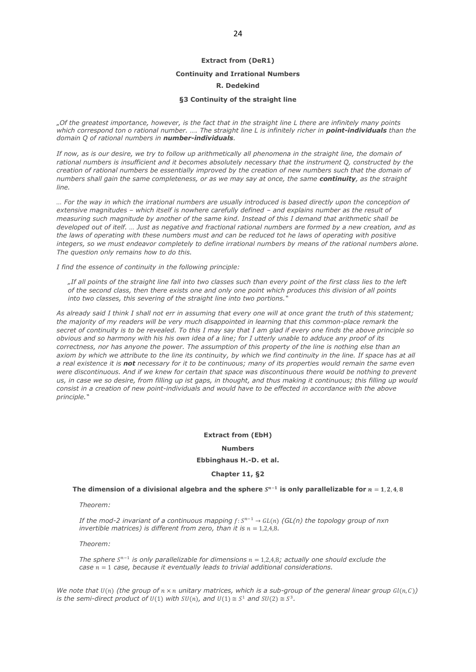#### **Extract from (DeR1)**

**Continuity and Irrational Numbers R. Dedekind**

# **§3 Continuity of the straight line**

"*Of the greatest importance, however, is the fact that in the straight line L there are infinitely many points*  which correspond ton o rational number. .... The straight line L is infinitely richer in **point-individuals** than the *domain Q of rational numbers in number-individuals.*

*If now, as is our desire, we try to follow up arithmetically all phenomena in the straight line, the domain of rational numbers is insufficient and it becomes absolutely necessary that the instrument Q, constructed by the creation of rational numbers be essentially improved by the creation of new numbers such that the domain of numbers shall gain the same completeness, or as we may say at once, the same continuity, as the straight line.*

*… For the way in which the irrational numbers are usually introduced is based directly upon the conception of extensive magnitudes – which itself is nowhere carefully defined – and explains number as the result of measuring such magnitude by another of the same kind. Instead of this I demand that arithmetic shall be developed out of itelf. … Just as negative and fractional rational numbers are formed by a new creation, and as the laws of operating with these numbers must and can be reduced tot he laws of operating with positive integers, so we must endeavor completely to define irrational numbers by means of the rational numbers alone. The question only remains how to do this.*

*I find the essence of continuity in the following principle:*

*"If all points of the straight line fall into two classes such than every point of the first class lies to the left of the second class, then there exists one and only one point which produces this division of all points into two classes, this severing of the straight line into two portions."*

*As already said I think I shall not err in assuming that every one will at once grant the truth of this statement; the majority of my readers will be very much disappointed in learning that this common-place remark the secret of continuity is to be revealed. To this I may say that I am glad if every one finds the above principle so obvious and so harmony with his his own idea of a line; for I utterly unable to adduce any proof of its correctness, nor has anyone the power. The assumption of this property of the line is nothing else than an axiom by which we attribute to the line its continuity, by which we find continuity in the line. If space has at all a real existence it is not necessary for it to be continuous; many of its properties would remain the same even were discontinuous. And if we knew for certain that space was discontinuous there would be nothing to prevent us, in case we so desire, from filling up ist gaps, in thought, and thus making it continuous; this filling up would consist in a creation of new point-individuals and would have to be effected in accordance with the above principle."*

# **Extract from (EbH)**

# **Numbers**

**Ebbinghaus H.-D. et al.**

#### **Chapter 11, §2**

#### The dimension of a divisional algebra and the sphere  $S^{n-1}$  is only parallelizable for  $n=1,2,4,8$

#### *Theorem:*

If the mod-2 invariant of a continuous mapping  $f: S^{n-1} \to GL(n)$  (GL(n) the topology group of nxn *invertible matrices) is different from zero, than it is*  $n = 1,2,4,8$ *.* 

#### *Theorem:*

*The sphere*  $S^{n-1}$  *is only parallelizable for dimensions*  $n = 1,2,4,8$ *; actually one should exclude the*  $case \ n = 1 \ case$ , because it eventually leads to trivial additional considerations.

*We note that*  $U(n)$  *(the group of*  $n \times n$  *unitary matrices, which is a sub-group of the general linear group*  $Gl(n, C)$ *) is the semi-direct product of U*(1) *with SU*(*n*), and *U*(1)  $\cong$  *S*<sup>1</sup> and *SU*(2)  $\cong$  *S*<sup>3</sup>.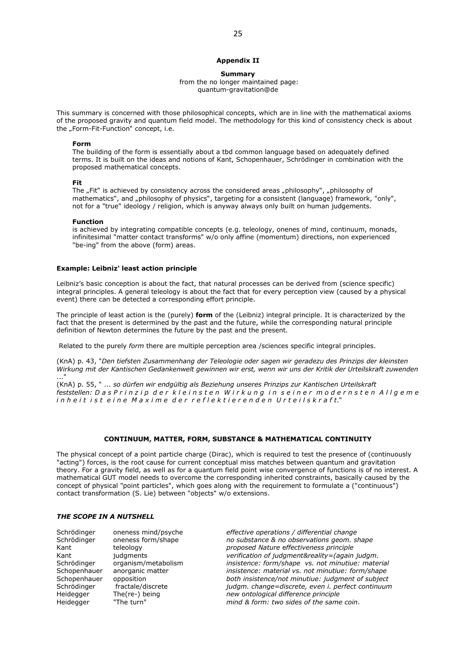#### **Appendix II**

#### **Summary**

## from the no longer maintained page: quantum-gravitation@de

This summary is concerned with those philosophical concepts, which are in line with the mathematical axioms of the proposed gravity and quantum field model. The methodology for this kind of consistency check is about the "Form-Fit-Function" concept, i.e.

#### **Form**

The building of the form is essentially about a tbd common language based on adequately defined terms. It is built on the ideas and notions of Kant, Schopenhauer, Schrödinger in combination with the proposed mathematical concepts.

#### **Fit**

The "Fit" is achieved by consistency across the considered areas "philosophy", "philosophy of mathematics", and "philosophy of physics", targeting for a consistent (language) framework, "only", not for a "true" ideology / religion, which is anyway always only built on human judgements.

#### **Function**

is achieved by integrating compatible concepts (e.g. teleology, onenes of mind, continuum, monads, infinitesimal "matter contact transforms" w/o only affine (momentum) directions, non experienced "be-ing" from the above (form) areas.

#### **Example: Leibniz' least action principle**

Leibniz's basic conception is about the fact, that natural processes can be derived from (science specific) integral principles. A general teleology is about the fact that for every perception view (caused by a physical event) there can be detected a corresponding effort principle.

The principle of least action is the (purely) **form** of the (Leibniz) integral principle. It is characterized by the fact that the present is determined by the past and the future, while the corresponding natural principle definition of Newton determines the future by the past and the present.

Related to the purely *form* there are multiple perception area /sciences specific integral principles.

(KnA) p. 43, "*Den tiefsten Zusammenhang der Teleologie oder sagen wir geradezu des Prinzips der kleinsten Wirkung mit der Kantischen Gedankenwelt gewinnen wir erst, wenn wir uns der Kritik der Urteilskraft zuwenden*  ..."

(KnA) p. 55, " ... *so dürfen wir endgültig als Beziehung unseres Prinzips zur Kantischen Urteilskraft feststellen: D a s P r i n z i p d e r k l e i n s t e n W i r k u n g i n s e i n e r m o d e r n s t e n A l l g e m e i n h e i t i s t e i n e M a x i m e d e r r e f l e k t i e r e n d e n U r t e i l s k r a f t*."

#### **CONTINUUM, MATTER, FORM, SUBSTANCE & MATHEMATICAL CONTINUITY**

The physical concept of a point particle charge (Dirac), which is required to test the presence of (continuously "acting") forces, is the root cause for current conceptual miss matches between quantum and gravitation theory. For a gravity field, as well as for a quantum field point wise convergence of functions is of no interest. A mathematical GUT model needs to overcome the corresponding inherited constraints, basically caused by the concept of physical "point particles", which goes along with the requirement to formulate a ("continuous") contact transformation (S. Lie) between "objects" w/o extensions.

#### *THE SCOPE IN A NUTSHELL*

Schrödinger oneness mind/psyche *effective operations / differential change* Heidegger The(re-) being *new* o*ntological difference principle*

Schrödinger oneness form/shape *no substance & no observations geom. shape* Kant teleology **proposed Nature effectiveness** *principle*<br>
Kant judgments verification of judgment&reality=(again Kant judgments *verification of judgment&reality=(again judgm.* insistence: form/shape *vs. not minutiue: material* Schopenhauer anorganic matter *insistence: material vs. not minutiue: form/shape*  Schopenhauer opposition *both insistence/not minutiue: judgment of subject*  Schrödinger fractale/discrete *judgm. change=discrete, even i. perfect continuum* Heidegger "The turn" *mind & form: two sides of the same coin*.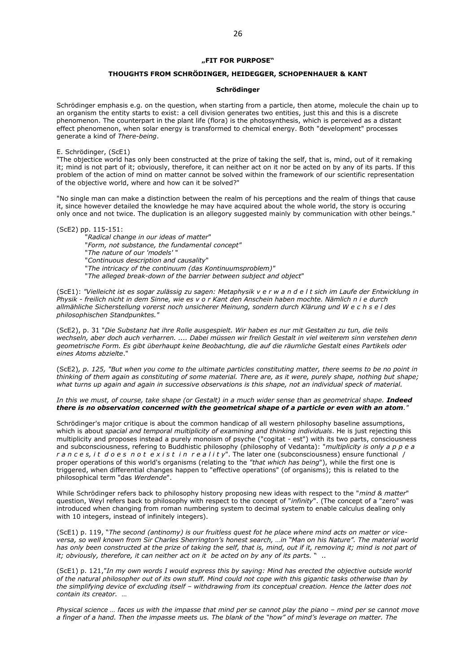#### **"FIT FOR PURPOSE"**

# **THOUGHTS FROM SCHRÖDINGER, HEIDEGGER, SCHOPENHAUER & KANT**

#### **Schrödinger**

Schrödinger emphasis e.g. on the question, when starting from a particle, then atome, molecule the chain up to an organism the entity starts to exist: a cell division generates two entities, just this and this is a discrete phenomenon. The counterpart in the plant life (flora) is the photosynthesis, which is perceived as a distant effect phenomenon, when solar energy is transformed to chemical energy. Both "development" processes generate a kind of *There-being*.

E. Schrödinger, (ScE1)

"The objectice world has only been constructed at the prize of taking the self, that is, mind, out of it remaking it; mind is not part of it; obviously, therefore, it can neither act on it nor be acted on by any of its parts. If this problem of the action of mind on matter cannot be solved within the framework of our scientific representation of the objective world, where and how can it be solved?"

"No single man can make a distinction between the realm of his perceptions and the realm of things that cause it, since however detailed the knowledge he may have acquired about the whole world, the story is occuring only once and not twice. The duplication is an allegory suggested mainly by communication with other beings."

# (ScE2) pp. 115-151:

- "*Radical change in our ideas of matter*"
- "*Form, not substance, the fundamental concept"*

"*The nature of our 'models'* "

"*Continuous description and causality*"

- "*The intricacy of the continuum (das Kontinuumsproblem)"*
- "*The alleged break-down of the barrier between subject and object*"

(ScE1): *"Vielleicht ist es sogar zulässig zu sagen: Metaphysik v e r w a n d e l t sich im Laufe der Entwicklung in Physik - freilich nicht in dem Sinne, wie es v o r Kant den Anschein haben mochte. Nämlich n i e durch allmähliche Sicherstellung vorerst noch unsicherer Meinung, sondern durch Klärung und W e c h s e l des philosophischen Standpunktes."*

(ScE2), p. 31 "*Die Substanz hat ihre Rolle ausgespielt. Wir haben es nur mit Gestalten zu tun, die teils wechseln, aber doch auch verharren. .... Dabei müssen wir freilich Gestalt in viel weiterem sinn verstehen denn geometrische Form. Es gibt überhaupt keine Beobachtung, die auf die räumliche Gestalt eines Partikels oder eines Atoms abzielte*."

(ScE2)*, p. 125, "But when you come to the ultimate particles constituting matter, there seems to be no point in thinking of them again as constituting of some material. There are, as it were, purely shape, nothing but shape; what turns up again and again in successive observations is this shape, not an individual speck of material.*

#### *In this we must, of course, take shape (or Gestalt) in a much wider sense than as geometrical shape. Indeed there is no observation concerned with the geometrical shape of a particle or even with an atom."*

Schrödinger's major critique is about the common handicap of all western philosophy baseline assumptions, which is about *spacial and temporal multiplicity of examining and thinking individuals*. He is just rejecting this multiplicity and proposes instead a purely monoism of psyche ("cogitat - est") with its two parts, consciousness and subconsciousness, refering to Buddhistic philosophy (philosophy of Vedanta): "*multiplicity is only a p p e a r a n c e s, i t d o e s n o t e x i s t i n r e a l i t y*". The later one (subconsciousness) ensure functional / proper operations of this world's organisms (relating to the *"that which has being*"), while the first one is triggered, when differential changes happen to "effective operations" (of organisms); this is related to the philosophical term "das *Werdende*".

While Schrödinger refers back to philosophy history proposing new ideas with respect to the "*mind & matter*" question, Weyl refers back to philosophy with respect to the concept of "*infinity*". (The concept of a "zero" was introduced when changing from roman numbering system to decimal system to enable calculus dealing only with 10 integers, instead of infinitely integers).

(ScE1) p. 119, "*The second (antinomy) is our fruitless quest fot he place where mind acts on matter or viceversa, so well known from Sir Charles Sherrington's honest search, …in "Man on his Nature". The material world has only been constructed at the prize of taking the self, that is, mind, out if it, removing it; mind is not part of it; obviously, therefore, it can neither act on it be acted on by any of its parts.* 

(ScE1) p. 121,"*In my own words I would express this by saying: Mind has erected the objective outside world of the natural philosopher out of its own stuff. Mind could not cope with this gigantic tasks otherwise than by the simplifying device of excluding itself – withdrawing from its conceptual creation. Hence the latter does not contain its creator. …*

*Physical science … faces us with the impasse that mind per se cannot play the piano – mind per se cannot move a finger of a hand. Then the impasse meets us. The blank of the "how" of mind's leverage on matter. The*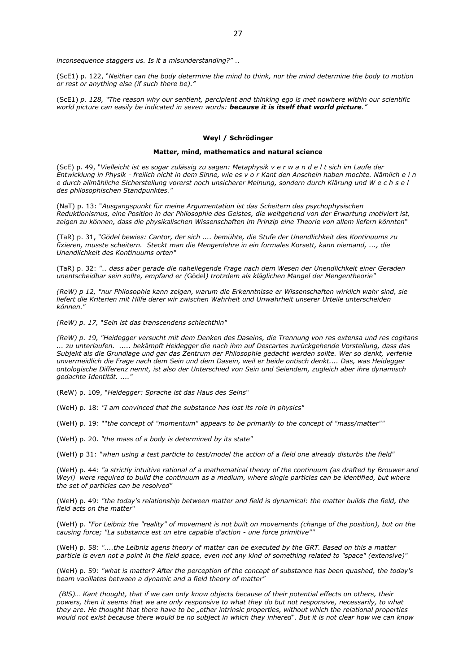*inconsequence staggers us. Is it a misunderstanding?"* ..

(ScE1) p. 122, "*Neither can the body determine the mind to think, nor the mind determine the body to motion or rest or anything else (if such there be)."*

(ScE1) *p. 128, "The reason why our sentient, percipient and thinking ego is met nowhere within our scientific world picture can easily be indicated in seven words: because it is itself that world picture."*

# **Weyl / Schrödinger**

#### **Matter, mind, mathematics and natural science**

(ScE) p. 49, "*Vielleicht ist es sogar zulässig zu sagen: Metaphysik v e r w a n d e l t sich im Laufe der Entwicklung in Physik - freilich nicht in dem Sinne, wie es v o r Kant den Anschein haben mochte. Nämlich e i n e durch allmähliche Sicherstellung vorerst noch unsicherer Meinung, sondern durch Klärung und W e c h s e l des philosophischen Standpunktes."*

(NaT) p. 13: "*Ausgangspunkt für meine Argumentation ist das Scheitern des psychophysischen Reduktionismus, eine Position in der Philosophie des Geistes, die weitgehend von der Erwartung motiviert ist, zeigen zu können, dass die physikalischen Wissenschaften im Prinzip eine Theorie von allem liefern könnten*"

(TaR) p. 31, "*Gödel bewies: Cantor, der sich .... bemühte, die Stufe der Unendlichkeit des Kontinuums zu fixieren, musste scheitern. Steckt man die Mengenlehre in ein formales Korsett, kann niemand, ..., die Unendlichkeit des Kontinuums orten"*

(TaR) p. 32: *"… dass aber gerade die naheliegende Frage nach dem Wesen der Unendlichkeit einer Geraden unentscheidbar sein sollte, empfand er (*Gödel*) trotzdem als kläglichen Mangel der Mengentheorie"*

*(ReW) p 12, "nur Philosophie kann zeigen, warum die Erkenntnisse er Wissenschaften wirklich wahr sind, sie liefert die Kriterien mit Hilfe derer wir zwischen Wahrheit und Unwahrheit unserer Urteile unterscheiden können."*

*(ReW) p. 17,* "*Sein ist das transcendens schlechthin"*

*(ReW) p. 19, "Heidegger versucht mit dem Denken des Daseins, die Trennung von res extensa und res cogitans ... zu unterlaufen. ..... bekämpft Heidegger die nach ihm auf Descartes zurückgehende Vorstellung, dass das Subjekt als die Grundlage und gar das Zentrum der Philosophie gedacht werden sollte. Wer so denkt, verfehle unvermeidlich die Frage nach dem Sein und dem Dasein, weil er beide ontisch denkt.... Das, was Heidegger ontologische Differenz nennt, ist also der Unterschied von Sein und Seiendem, zugleich aber ihre dynamisch gedachte Identität. ...."*

(ReW) p. 109, "*Heidegger: Sprache ist das Haus des Seins*"

(WeH) p. 18: *"I am convinced that the substance has lost its role in physics"*

(WeH) p. 19: ""*the concept of "momentum" appears to be primarily to the concept of "mass/matter""*

(WeH) p. 20. *"the mass of a body is determined by its state"*

(WeH) p 31: *"when using a test particle to test/model the action of a field one already disturbs the field"*

(WeH) p. 44: *"a strictly intuitive rational of a mathematical theory of the continuum (as drafted by Brouwer and Weyl) were required to build the continuum as a medium, where single particles can be identified, but where the set of particles can be resolved"*

(WeH) p. 49: *"the today's relationship between matter and field is dynamical: the matter builds the field, the field acts on the matter*"

(WeH) p. *"For Leibniz the "reality" of movement is not built on movements (change of the position), but on the causing force; "La substance est un etre capable d'action - une force primitive""*

(WeH) p. 58: *"....the Leibniz agens theory of matter can be executed by the GRT. Based on this a matter particle is even not a point in the field space, even not any kind of something related to "space" (extensive)"*

(WeH) p. 59: *"what is matter? After the perception of the concept of substance has been quashed, the today's beam vacillates between a dynamic and a field theory of matter"*

*(BlS)… Kant thought, that if we can only know objects because of their potential effects on others, their powers, then it seems that we are only responsive to what they do but not responsive, necessarily, to what they are. He thought that there have to be "other intrinsic properties, without which the relational properties would not exist because there would be no subject in which they inhered". But it is not clear how we can know*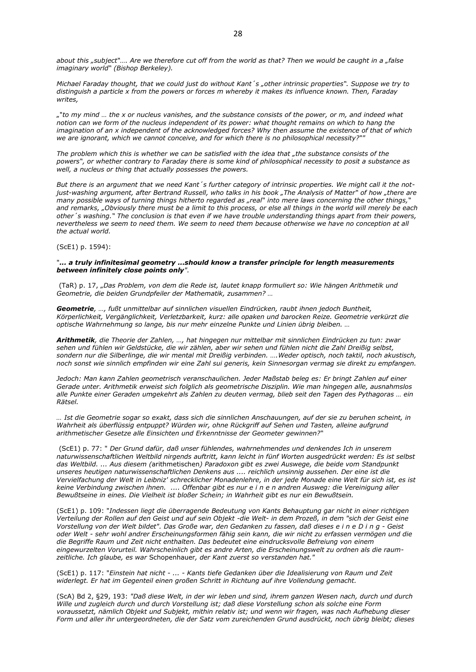*about this "subject"…. Are we therefore cut off from the world as that? Then we would be caught in a "false imaginary world" (Bishop Berkeley).*

*Michael Faraday thought, that we could just do without Kant´s "other intrinsic properties". Suppose we try to distinguish a particle x from the powers or forces m whereby it makes its influence known. Then, Faraday writes,*

""*to my mind … the x or nucleus vanishes, and the substance consists of the power, or m, and indeed what notion can we form of the nucleus independent of its power: what thought remains on which to hang the imagination of an x independent of the acknowledged forces? Why then assume the existence of that of which we are ignorant, which we cannot conceive, and for which there is no philosophical necessity?""*

*The problem which this is whether we can be satisfied with the idea that "the substance consists of the powers", or whether contrary to Faraday there is some kind of philosophical necessity to posit a substance as well, a nucleus or thing that actually possesses the powers.*

*But there is an argument that we need Kant´s further category of intrinsic properties. We might call it the notjust-washing argument, after Bertrand Russell, who talks in his book "The Analysis of Matter<sup>"</sup> of how "there are many possible ways of turning things hitherto regarded as "real" into mere laws concerning the other things," and remarks, "Obviously there must be a limit to this process, or else all things in the world will merely be each other´s washing." The conclusion is that even if we have trouble understanding things apart from their powers, nevertheless we seem to need them. We seem to need them because otherwise we have no conception at all the actual world.*

(ScE1) p. 1594):

## "*... a truly infinitesimal geometry ...should know a transfer principle for length measurements between infinitely close points only".*

(TaR) p. 17, "*Das Problem, von dem die Rede ist, lautet knapp formuliert so: Wie hängen Arithmetik und Geometrie, die beiden Grundpfeiler der Mathematik, zusammen? …*

*Geometrie, …, fußt unmittelbar auf sinnlichen visuellen Eindrücken, raubt ihnen jedoch Buntheit, Körperlichkeit, Vergänglichkeit, Verletzbarkeit, kurz: alle opaken und barocken Reize. Geometrie verkürzt die optische Wahrnehmung so lange, bis nur mehr einzelne Punkte und Linien übrig bleiben. …*

*Arithmetik, die Theorie der Zahlen, …, hat hingegen nur mittelbar mit sinnlichen Eindrücken zu tun: zwar sehen und fühlen wir Geldstücke, die wir zählen, aber wir sehen und fühlen nicht die Zahl Dreißig selbst, sondern nur die Silberlinge, die wir mental mit Dreißig verbinden. ….Weder optisch, noch taktil, noch akustisch, noch sonst wie sinnlich empfinden wir eine Zahl sui generis, kein Sinnesorgan vermag sie direkt zu empfangen.*

*Jedoch: Man kann Zahlen geometrisch veranschaulichen. Jeder Maßstab beleg es: Er bringt Zahlen auf einer Gerade unter. Arithmetik erweist sich folglich als geometrische Disziplin. Wie man hingegen alle, ausnahmslos alle Punkte einer Geraden umgekehrt als Zahlen zu deuten vermag, blieb seit den Tagen des Pythagoras … ein Rätsel.*

*… Ist die Geometrie sogar so exakt, dass sich die sinnlichen Anschauungen, auf der sie zu beruhen scheint, in Wahrheit als überflüssig entpuppt? Würden wir, ohne Rückgriff auf Sehen und Tasten, alleine aufgrund arithmetischer Gesetze alle Einsichten und Erkenntnisse der Geometer gewinnen?"*

(ScE1) p. 77: " *Der Grund dafür, daß unser fühlendes, wahrnehmendes und denkendes Ich in unserem naturwissenschaftlichen Weltbild nirgends auftritt, kann leicht in fünf Worten ausgedrückt werden: Es ist selbst das Weltbild. ... Aus diesem (*arithmetischen*) Paradoxon gibt es zwei Auswege, die beide vom Standpunkt unseres heutigen naturwissenschaftlichen Denkens aus .... reichlich unsinnig aussehen. Der eine ist die Vervielfachung der Welt in Leibniz' schrecklicher Monadenlehre, in der jede Monade eine Welt für sich ist, es ist keine Verbindung zwischen ihnen. .... Offenbar gibt es nur e i n e n andren Ausweg: die Vereinigung aller Bewußtseine in eines. Die Vielheit ist bloßer Schein; in Wahrheit gibt es nur ein Bewußtsein.*

(ScE1) p. 109: "*Indessen liegt die überragende Bedeutung von Kants Behauptung gar nicht in einer richtigen Verteilung der Rollen auf den Geist und auf sein Objekt -die Welt- in dem Prozeß, in dem "sich der Geist eine Vorstellung von der Welt bildet". Das Große war, den Gedanken zu fassen, daß dieses e i n e D i n g - Geist oder Welt - sehr wohl andrer Erscheinungsformen fähig sein kann, die wir nicht zu erfassen vermögen und die die Begriffe Raum und Zeit nicht enthalten. Das bedeutet eine eindrucksvolle Befreiung von einem eingewurzelten Vorurteil. Wahrscheinlich gibt es andre Arten, die Erscheinungswelt zu ordnen als die raumzeitliche. Ich glaube, es war* Schopenhauer*, der Kant zuerst so verstanden hat."*

(ScE1) p. 117: "*Einstein hat nicht - ... - Kants tiefe Gedanken über die Idealisierung von Raum und Zeit widerlegt. Er hat im Gegenteil einen großen Schritt in Richtung auf ihre Vollendung gemacht.*

(ScA) Bd 2, §29, 193: *"Daß diese Welt, in der wir leben und sind, ihrem ganzen Wesen nach, durch und durch Wille und zugleich durch und durch Vorstellung ist; daß diese Vorstellung schon als solche eine Form voraussetzt, nämlich Objekt und Subjekt, mithin relativ ist; und wenn wir fragen, was nach Aufhebung dieser Form und aller ihr untergeordneten, die der Satz vom zureichenden Grund ausdrückt, noch übrig bleibt; dieses*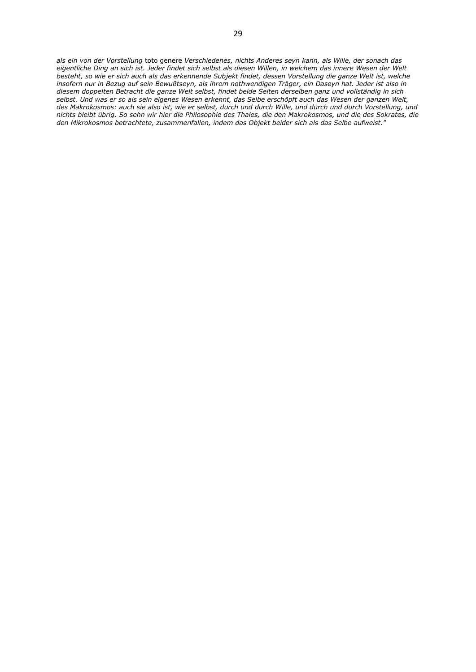*als ein von der Vorstellung* toto genere *Verschiedenes, nichts Anderes seyn kann, als Wille, der sonach das eigentliche Ding an sich ist. Jeder findet sich selbst als diesen Willen, in welchem das innere Wesen der Welt besteht, so wie er sich auch als das erkennende Subjekt findet, dessen Vorstellung die ganze Welt ist, welche insofern nur in Bezug auf sein Bewußtseyn, als ihrem nothwendigen Träger, ein Daseyn hat. Jeder ist also in diesem doppelten Betracht die ganze Welt selbst, findet beide Seiten derselben ganz und vollständig in sich selbst. Und was er so als sein eigenes Wesen erkennt, das Selbe erschöpft auch das Wesen der ganzen Welt, des Makrokosmos: auch sie also ist, wie er selbst, durch und durch Wille, und durch und durch Vorstellung, und nichts bleibt übrig. So sehn wir hier die Philosophie des Thales, die den Makrokosmos, und die des Sokrates, die den Mikrokosmos betrachtete, zusammenfallen, indem das Objekt beider sich als das Selbe aufweist."*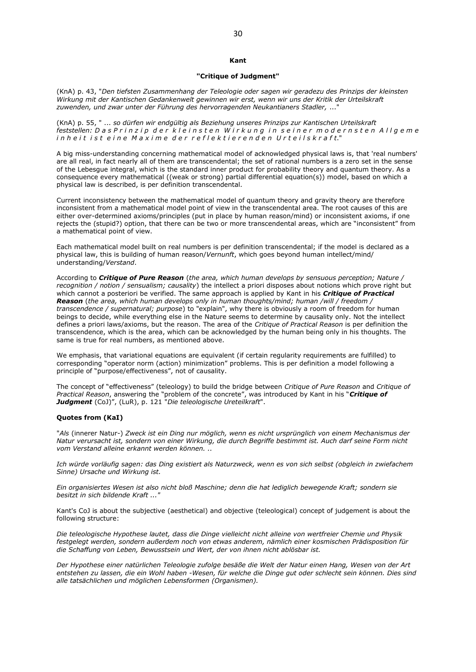#### **Kant**

#### **"Critique of Judgment"**

(KnA) p. 43, "*Den tiefsten Zusammenhang der Teleologie oder sagen wir geradezu des Prinzips der kleinsten Wirkung mit der Kantischen Gedankenwelt gewinnen wir erst, wenn wir uns der Kritik der Urteilskraft zuwenden, und zwar unter der Führung des hervorragenden Neukantianers Stadler,* ..."

(KnA) p. 55, " ... *so dürfen wir endgültig als Beziehung unseres Prinzips zur Kantischen Urteilskraft feststellen: D a s P r i n z i p d e r k l e i n s t e n W i r k u n g i n s e i n e r m o d e r n s t e n A l l g e m e i n h e i t i s t e i n e M a x i m e d e r r e f l e k t i e r e n d e n U r t e i l s k r a f t*."

A big miss-understanding concerning mathematical model of acknowledged physical laws is, that 'real numbers' are all real, in fact nearly all of them are transcendental; the set of rational numbers is a zero set in the sense of the Lebesgue integral, which is the standard inner product for probability theory and quantum theory. As a consequence every mathematical ((weak or strong) partial differential equation(s)) model, based on which a physical law is described, is per definition transcendental.

Current inconsistency between the mathematical model of quantum theory and gravity theory are therefore inconsistent from a mathematical model point of view in the transcendental area. The root causes of this are either over-determined axioms/principles (put in place by human reason/mind) or inconsistent axioms, if one rejects the (stupid?) option, that there can be two or more transcendental areas, which are "inconsistent" from a mathematical point of view.

Each mathematical model built on real numbers is per definition transcendental; if the model is declared as a physical law, this is building of human reason/*Vernunft*, which goes beyond human intellect/mind/ understanding/*Verstand*.

According to *Critique of Pure Reason* (*the area, which human develops by sensuous perception; Nature / recognition / notion / sensualism; causality*) the intellect a priori disposes about notions which prove right but which cannot a posteriori be verified. The same approach is applied by Kant in his **Critique of Practical** *Reason* (*the area, which human develops only in human thoughts/mind; human /will / freedom / transcendence / supernatural; purpose*) to "explain", why there is obviously a room of freedom for human beings to decide, while everything else in the Nature seems to determine by causality only. Not the intellect defines a priori laws/axioms, but the reason. The area of the *Critique of Practical Reason* is per definition the transcendence, which is the area, which can be acknowledged by the human being only in his thoughts. The same is true for real numbers, as mentioned above.

We emphasis, that variational equations are equivalent (if certain regularity requirements are fulfilled) to corresponding "operator norm (action) minimization" problems. This is per definition a model following a principle of "purpose/effectiveness", not of causality.

The concept of "effectiveness" (teleology) to build the bridge between *Critique of Pure Reason* and *Critique of Practical Reason*, answering the "problem of the concrete", was introduced by Kant in his "*Critique of Judgment* (CoJ)", (LuR), p. 121 "*Die teleologische Ureteilkraft*".

# **Quotes from (KaI)**

"*Als* (innerer Natur-) *Zweck ist ein Ding nur möglich, wenn es nicht ursprünglich von einem Mechanismus der Natur verursacht ist, sondern von einer Wirkung, die durch Begriffe bestimmt ist. Auch darf seine Form nicht vom Verstand alleine erkannt werden können. ..*

*Ich würde vorläufig sagen: das Ding existiert als Naturzweck, wenn es von sich selbst (obgleich in zwiefachem Sinne) Ursache und Wirkung ist.*

*Ein organisiertes Wesen ist also nicht bloß Maschine; denn die hat lediglich bewegende Kraft; sondern sie besitzt in sich bildende Kraft ..."*

Kant's CoJ is about the subjective (aesthetical) and objective (teleological) concept of judgement is about the following structure:

*Die teleologische Hypothese lautet, dass die Dinge vielleicht nicht alleine von wertfreier Chemie und Physik festgelegt werden, sondern außerdem noch von etwas anderem, nämlich einer kosmischen Prädisposition für die Schaffung von Leben, Bewusstsein und Wert, der von ihnen nicht ablösbar ist.*

*Der Hypothese einer natürlichen Teleologie zufolge besäße die Welt der Natur einen Hang, Wesen von der Art entstehen zu lassen, die ein Wohl haben -Wesen, für welche die Dinge gut oder schlecht sein können. Dies sind alle tatsächlichen und möglichen Lebensformen (Organismen).*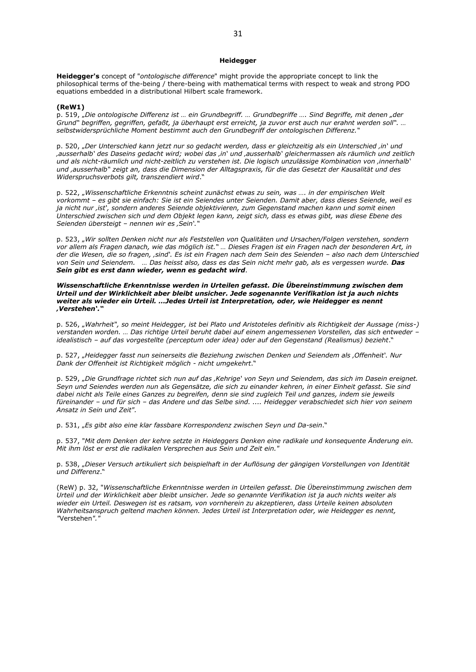#### **Heidegger**

**Heidegger's** concept of "*ontologische difference*" might provide the appropriate concept to link the philosophical terms of the-being / there-being with mathematical terms with respect to weak and strong PDO equations embedded in a distributional Hilbert scale framework.

#### **(ReW1)**

p. 519, "*Die ontologische Differenz ist … ein Grundbegriff. … Grundbegriffe …. Sind Begriffe, mit denen "der Grund" begriffen, gegriffen, gefaßt, ja überhaupt erst erreicht, ja zuvor erst auch nur erahnt werden soll". … selbstwidersprüchliche Moment bestimmt auch den Grundbegriff der ontologischen Differenz."*

p. 520, "*Der Unterschied kann jetzt nur so gedacht werden, dass er gleichzeitig als ein Unterschied 'in' und 'ausserhalb' des Daseins gedacht wird; wobei das 'in' und 'ausserhalb' gleichermassen als räumlich und zeitlich und als nicht-räumlich und nicht-zeitlich zu verstehen ist. Die logisch unzulässige Kombination von 'innerhalb' und 'ausserhalb" zeigt an, dass die Dimension der Alltagspraxis, für die das Gesetzt der Kausalität und des Widerspruchsverbots gilt, transzendiert wird*."

p. 522, "*Wissenschaftliche Erkenntnis scheint zunächst etwas zu sein, was …. in der empirischen Welt vorkommt – es gibt sie einfach: Sie ist ein Seiendes unter Seienden. Damit aber, dass dieses Seiende, weil es ja nicht nur 'ist', sondern anderes Seiende objektivieren, zum Gegenstand machen kann und somit einen Unterschied zwischen sich und dem Objekt legen kann, zeigt sich, dass es etwas gibt, was diese Ebene des Seienden übersteigt – nennen wir es 'Sein'."*

p. 523, "Wir sollten Denken nicht nur als Feststellen von Qualitäten und Ursachen/Folgen verstehen, sondern *vor allem als Fragen danach, wie das möglich ist." … Dieses Fragen ist ein Fragen nach der besonderen Art, in der die Wesen, die so fragen, 'sind'. Es ist ein Fragen nach dem Sein des Seienden – also nach dem Unterschied von Sein und Seiendem. … Das heisst also, dass es das Sein nicht mehr gab, als es vergessen wurde. Das Sein gibt es erst dann wieder, wenn es gedacht wird.*

*Wissenschaftliche Erkenntnisse werden in Urteilen gefasst. Die Übereinstimmung zwischen dem Urteil und der Wirklichkeit aber bleibt unsicher. Jede sogenannte Verifikation ist ja auch nichts weiter als wieder ein Urteil. …Jedes Urteil ist Interpretation, oder, wie Heidegger es nennt 'Verstehen'."*

p. 526, "*Wahrheit", so meint Heidegger, ist bei Plato und Aristoteles definitiv als Richtigkeit der Aussage (miss-) verstanden worden. … Das richtige Urteil beruht dabei auf einem angemessenen Vorstellen, das sich entweder – idealistisch – auf das vorgestellte (perceptum oder idea) oder auf den Gegenstand (Realismus) bezieht*."

p. 527, "*Heidegger fasst nun seinerseits die Beziehung zwischen Denken und Seiendem als 'Offenheit'. Nur Dank der Offenheit ist Richtigkeit möglich - nicht umgekehrt*."

p. 529, "*Die Grundfrage richtet sich nun auf das 'Kehrige' von Seyn und Seiendem, das sich im Dasein ereignet. Seyn und Seiendes werden nun als Gegensätze, die sich zu einander kehren, in einer Einheit gefasst. Sie sind dabei nicht als Teile eines Ganzes zu begreifen, denn sie sind zugleich Teil und ganzes, indem sie jeweils füreinander – und für sich – das Andere und das Selbe sind. .... Heidegger verabschiedet sich hier von seinem Ansatz in Sein und Zeit".*

p. 531, "*Es gibt also eine klar fassbare Korrespondenz zwischen Seyn und Da-sein*."

p. 537, "*Mit dem Denken der kehre setzte in Heideggers Denken eine radikale und konsequente Änderung ein. Mit ihm löst er erst die radikalen Versprechen aus Sein und Zeit ein."*

p. 538, "*Dieser Versuch artikuliert sich beispielhaft in der Auflösung der gängigen Vorstellungen von Identität und Differenz*."

(ReW) p. 32, "*Wissenschaftliche Erkenntnisse werden in Urteilen gefasst. Die Übereinstimmung zwischen dem Urteil und der Wirklichkeit aber bleibt unsicher. Jede so genannte Verifikation ist ja auch nichts weiter als wieder ein Urteil. Deswegen ist es ratsam, von vornherein zu akzeptieren, dass Urteile keinen absoluten Wahrheitsanspruch geltend machen können. Jedes Urteil ist Interpretation oder, wie Heidegger es nennt, "*Verstehen*"."*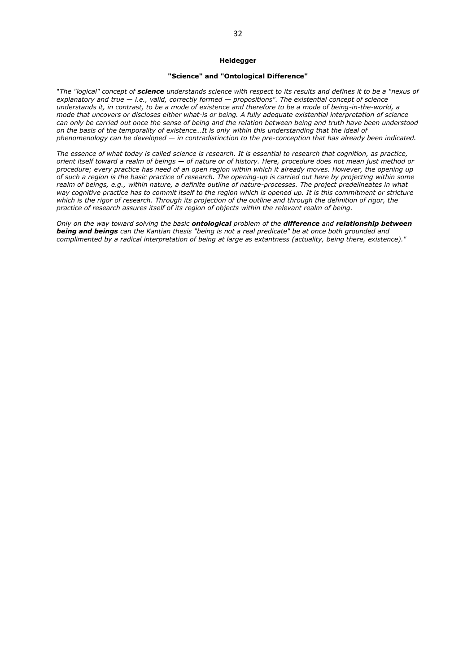#### **Heidegger**

#### **"Science" and "Ontological Difference"**

"*The "logical" concept of science understands science with respect to its results and defines it to be a "nexus of explanatory and true — i.e., valid, correctly formed — propositions". The existential concept of science understands it, in contrast, to be a mode of existence and therefore to be a mode of being-in-the-world, a mode that uncovers or discloses either what-is or being. A fully adequate existential interpretation of science can only be carried out once the sense of being and the relation between being and truth have been understood on the basis of the temporality of existence…It is only within this understanding that the ideal of phenomenology can be developed — in contradistinction to the pre-conception that has already been indicated.*

*The essence of what today is called science is research. It is essential to research that cognition, as practice, orient itself toward a realm of beings — of nature or of history. Here, procedure does not mean just method or procedure; every practice has need of an open region within which it already moves. However, the opening up of such a region is the basic practice of research. The opening-up is carried out here by projecting within some*  realm of beings, e.g., within nature, a definite outline of nature-processes. The project predelineates in what way cognitive practice has to commit itself to the region which is opened up. It is this commitment or stricture which is the rigor of research. Through its projection of the outline and through the definition of rigor, the *practice of research assures itself of its region of objects within the relevant realm of being.*

*Only on the way toward solving the basic ontological problem of the difference and relationship between being and beings can the Kantian thesis "being is not a real predicate" be at once both grounded and complimented by a radical interpretation of being at large as extantness (actuality, being there, existence)."*